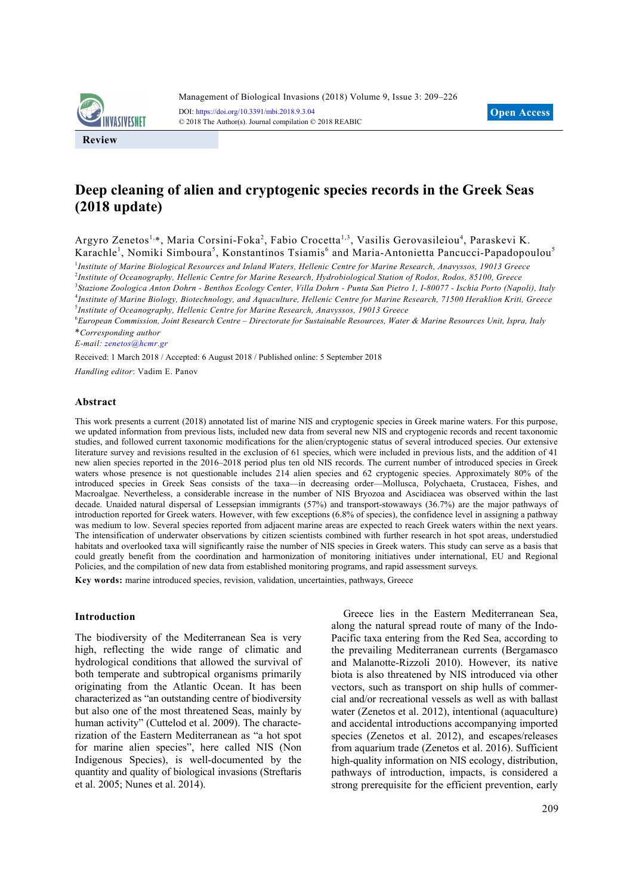

# **Deep cleaning of alien and cryptogenic species records in the Greek Seas (2018 update)**

Argyro Zenetos<sup>1,</sup>\*, Maria Corsini-Foka<sup>2</sup>, Fabio Crocetta<sup>1,3</sup>, Vasilis Gerovasileiou<sup>4</sup>, Paraskevi K. Karachle<sup>1</sup>, Nomiki Simboura<sup>5</sup>, Konstantinos Tsiamis<sup>6</sup> and Maria-Antonietta Pancucci-Papadopoulou<sup>5</sup>

<sup>1</sup> Institute of Marine Biological Resources and Inland Waters, Hellenic Centre for Marine Research, Anavyssos, 19013 Greece *Institute of Oceanography, Hellenic Centre for Marine Research, Hydrobiological Station of Rodos, Rodos, 85100, Greece Stazione Zoologica Anton Dohrn - Benthos Ecology Center, Villa Dohrn - Punta San Pietro 1, I-80077 - Ischia Porto (Napoli), Italy Institute of Marine Biology, Biotechnology, and Aquaculture, Hellenic Centre for Marine Research, 71500 Heraklion Kriti, Greece Institute of Oceanography, Hellenic Centre for Marine Research, Anavyssos, 19013 Greece*

6 *European Commission, Joint Research Centre – Directorate for Sustainable Resources, Water & Marine Resources Unit, Ispra, Italy* \**Corresponding author*

*E-mail: zenetos@hcmr.gr*

Received: 1 March 2018 / Accepted: 6 August 2018 / Published online: 5 September 2018

*Handling editor*: Vadim E. Panov

#### **Abstract**

This work presents a current (2018) annotated list of marine NIS and cryptogenic species in Greek marine waters. For this purpose, we updated information from previous lists, included new data from several new NIS and cryptogenic records and recent taxonomic studies, and followed current taxonomic modifications for the alien/cryptogenic status of several introduced species. Our extensive literature survey and revisions resulted in the exclusion of 61 species, which were included in previous lists, and the addition of 41 new alien species reported in the 2016–2018 period plus ten old NIS records. The current number of introduced species in Greek waters whose presence is not questionable includes 214 alien species and 62 cryptogenic species. Approximately 80% of the introduced species in Greek Seas consists of the taxa—in decreasing order—Mollusca, Polychaeta, Crustacea, Fishes, and Macroalgae. Nevertheless, a considerable increase in the number of NIS Bryozoa and Ascidiacea was observed within the last decade. Unaided natural dispersal of Lessepsian immigrants (57%) and transport-stowaways (36.7%) are the major pathways of introduction reported for Greek waters. However, with few exceptions (6.8% of species), the confidence level in assigning a pathway was medium to low. Several species reported from adjacent marine areas are expected to reach Greek waters within the next years. The intensification of underwater observations by citizen scientists combined with further research in hot spot areas, understudied habitats and overlooked taxa will significantly raise the number of NIS species in Greek waters. This study can serve as a basis that could greatly benefit from the coordination and harmonization of monitoring initiatives under international, EU and Regional Policies, and the compilation of new data from established monitoring programs, and rapid assessment surveys.

**Key words:** marine introduced species, revision, validation, uncertainties, pathways, Greece

#### **Introduction**

The biodiversity of the Mediterranean Sea is very high, reflecting the wide range of climatic and hydrological conditions that allowed the survival of both temperate and subtropical organisms primarily originating from the Atlantic Ocean. It has been characterized as "an outstanding centre of biodiversity but also one of the most threatened Seas, mainly by human activity" (Cuttelod et al. 2009). The characterization of the Eastern Mediterranean as "a hot spot for marine alien species", here called NIS (Non Indigenous Species), is well-documented by the quantity and quality of biological invasions (Streftaris et al. 2005; Nunes et al. 2014).

Greece lies in the Eastern Mediterranean Sea, along the natural spread route of many of the Indo-Pacific taxa entering from the Red Sea, according to the prevailing Mediterranean currents (Bergamasco and Malanotte-Rizzoli 2010). However, its native biota is also threatened by NIS introduced via other vectors, such as transport on ship hulls of commercial and/or recreational vessels as well as with ballast water (Zenetos et al. 2012), intentional (aquaculture) and accidental introductions accompanying imported species (Zenetos et al. 2012), and escapes/releases from aquarium trade (Zenetos et al. 2016). Sufficient high-quality information on NIS ecology, distribution, pathways of introduction, impacts, is considered a strong prerequisite for the efficient prevention, early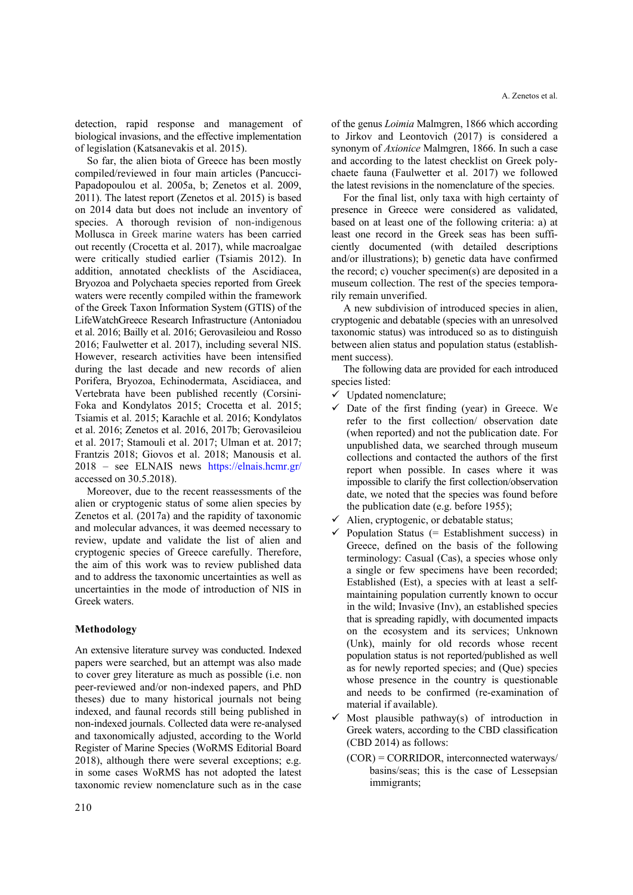detection, rapid response and management of biological invasions, and the effective implementation of legislation (Katsanevakis et al. 2015).

So far, the alien biota of Greece has been mostly compiled/reviewed in four main articles (Pancucci-Papadopoulou et al. 2005a, b; Zenetos et al. 2009, 2011). The latest report (Zenetos et al. 2015) is based on 2014 data but does not include an inventory of species. A thorough revision of non-indigenous Mollusca in Greek marine waters has been carried out recently (Crocetta et al. 2017), while macroalgae were critically studied earlier (Tsiamis 2012). In addition, annotated checklists of the Ascidiacea, Bryozoa and Polychaeta species reported from Greek waters were recently compiled within the framework of the Greek Taxon Information System (GTIS) of the LifeWatchGreece Research Infrastructure (Antoniadou et al. 2016; Bailly et al. 2016; Gerovasileiou and Rosso 2016; Faulwetter et al. 2017), including several NIS. However, research activities have been intensified during the last decade and new records of alien Porifera, Bryozoa, Echinodermata, Ascidiacea, and Vertebrata have been published recently (Corsini-Foka and Kondylatos 2015; Crocetta et al. 2015; Tsiamis et al. 2015; Karachle et al. 2016; Kondylatos et al. 2016; Zenetos et al. 2016, 2017b; Gerovasileiou et al. 2017; Stamouli et al. 2017; Ulman et at. 2017; Frantzis 2018; Giovos et al. 2018; Manousis et al. 2018 – see ELNAIS news https://elnais.hcmr.gr/ accessed on 30.5.2018).

Moreover, due to the recent reassessments of the alien or cryptogenic status of some alien species by Zenetos et al. (2017a) and the rapidity of taxonomic and molecular advances, it was deemed necessary to review, update and validate the list of alien and cryptogenic species of Greece carefully. Therefore, the aim of this work was to review published data and to address the taxonomic uncertainties as well as uncertainties in the mode of introduction of NIS in Greek waters.

# **Methodology**

An extensive literature survey was conducted. Indexed papers were searched, but an attempt was also made to cover grey literature as much as possible (i.e. non peer-reviewed and/or non-indexed papers, and PhD theses) due to many historical journals not being indexed, and faunal records still being published in non-indexed journals. Collected data were re-analysed and taxonomically adjusted, according to the World Register of Marine Species (WoRMS Editorial Board 2018), although there were several exceptions; e.g. in some cases WoRMS has not adopted the latest taxonomic review nomenclature such as in the case

of the genus *Loimia* Malmgren, 1866 which according to Jirkov and Leontovich (2017) is considered a synonym of *Axionice* Malmgren, 1866. In such a case and according to the latest checklist on Greek polychaete fauna (Faulwetter et al. 2017) we followed the latest revisions in the nomenclature of the species.

For the final list, only taxa with high certainty of presence in Greece were considered as validated, based on at least one of the following criteria: a) at least one record in the Greek seas has been sufficiently documented (with detailed descriptions and/or illustrations); b) genetic data have confirmed the record; c) voucher specimen(s) are deposited in a museum collection. The rest of the species temporarily remain unverified.

A new subdivision of introduced species in alien, cryptogenic and debatable (species with an unresolved taxonomic status) was introduced so as to distinguish between alien status and population status (establishment success).

The following data are provided for each introduced species listed:

- $\checkmark$  Updated nomenclature;
- $\checkmark$  Date of the first finding (year) in Greece. We refer to the first collection/ observation date (when reported) and not the publication date. For unpublished data, we searched through museum collections and contacted the authors of the first report when possible. In cases where it was impossible to clarify the first collection/observation date, we noted that the species was found before the publication date (e.g. before 1955);
- $\checkmark$  Alien, cryptogenic, or debatable status;
- $\checkmark$  Population Status (= Establishment success) in Greece, defined on the basis of the following terminology: Casual (Cas), a species whose only a single or few specimens have been recorded; Established (Est), a species with at least a selfmaintaining population currently known to occur in the wild; Invasive (Inv), an established species that is spreading rapidly, with documented impacts on the ecosystem and its services; Unknown (Unk), mainly for old records whose recent population status is not reported/published as well as for newly reported species; and (Que) species whose presence in the country is questionable and needs to be confirmed (re-examination of material if available).
- Most plausible pathway(s) of introduction in Greek waters, according to the CBD classification (CBD 2014) as follows:
	- (COR) = CORRIDOR, interconnected waterways/ basins/seas; this is the case of Lessepsian immigrants;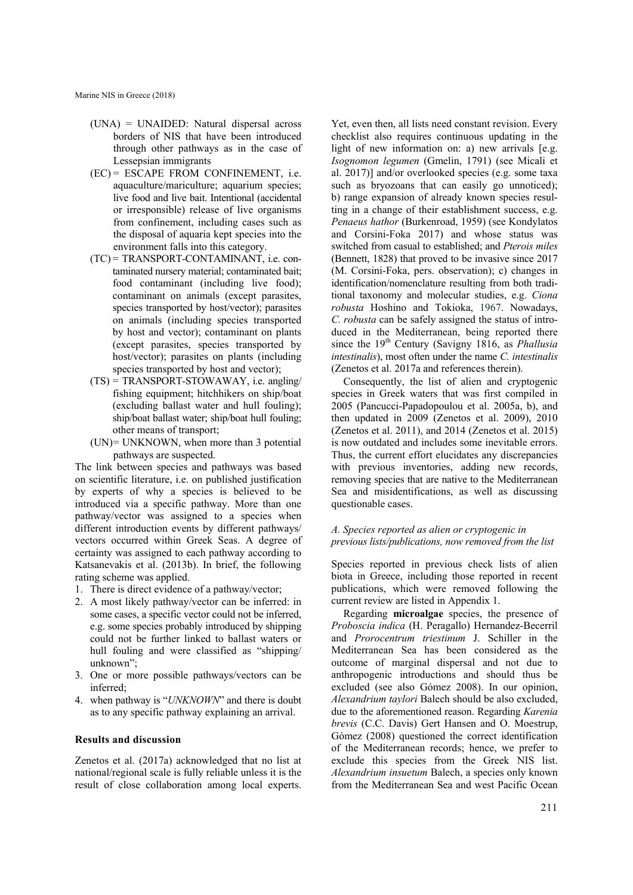- (UNA) = UNAIDED: Natural dispersal across borders of NIS that have been introduced through other pathways as in the case of Lessepsian immigrants
- (EC) = ESCAPE FROM CONFINEMENT, i.e. aquaculture/mariculture; aquarium species; live food and live bait. Intentional (accidental or irresponsible) release of live organisms from confinement, including cases such as the disposal of aquaria kept species into the environment falls into this category.
- (TC) = TRANSPORT-CONTAMINANT, i.e. contaminated nursery material; contaminated bait; food contaminant (including live food); contaminant on animals (except parasites, species transported by host/vector); parasites on animals (including species transported by host and vector); contaminant on plants (except parasites, species transported by host/vector); parasites on plants (including species transported by host and vector);
- (TS) = TRANSPORT-STOWAWAY, i.e. angling/ fishing equipment; hitchhikers on ship/boat (excluding ballast water and hull fouling); ship/boat ballast water; ship/boat hull fouling; other means of transport;
- (UN) = UNKNOWN, when more than 3 potential pathways are suspected.

The link between species and pathways was based on scientific literature, i.e. on published justification by experts of why a species is believed to be introduced via a specific pathway. More than one pathway/vector was assigned to a species when different introduction events by different pathways/ vectors occurred within Greek Seas. A degree of certainty was assigned to each pathway according to Katsanevakis et al. (2013b). In brief, the following rating scheme was applied.

- 1. There is direct evidence of a pathway/vector;
- 2. A most likely pathway/vector can be inferred: in some cases, a specific vector could not be inferred, e.g. some species probably introduced by shipping could not be further linked to ballast waters or hull fouling and were classified as "shipping/ unknown";
- 3. One or more possible pathways/vectors can be inferred;
- 4. when pathway is "*UNKNOWN*" and there is doubt as to any specific pathway explaining an arrival.

# **Results and discussion**

Zenetos et al. (2017a) acknowledged that no list at national/regional scale is fully reliable unless it is the result of close collaboration among local experts. Yet, even then, all lists need constant revision. Every checklist also requires continuous updating in the light of new information on: a) new arrivals [e.g. *Isognomon legumen* (Gmelin, 1791) (see Micali et al. 2017)] and/or overlooked species (e.g. some taxa such as bryozoans that can easily go unnoticed); b) range expansion of already known species resulting in a change of their establishment success, e.g. *Penaeus hathor* (Burkenroad, 1959) (see Kondylatos and Corsini-Foka 2017) and whose status was switched from casual to established; and *Pterois miles* (Bennett, 1828) that proved to be invasive since 2017 (M. Corsini-Foka, pers. observation); c) changes in identification/nomenclature resulting from both traditional taxonomy and molecular studies, e.g. *Ciona robusta* Hoshino and Tokioka, 1967. Nowadays, *C. robusta* can be safely assigned the status of introduced in the Mediterranean, being reported there since the 19<sup>th</sup> Century (Savigny 1816, as *Phallusia intestinalis*), most often under the name *C. intestinalis*  (Zenetos et al. 2017a and references therein).

Consequently, the list of alien and cryptogenic species in Greek waters that was first compiled in 2005 (Pancucci-Papadopoulou et al. 2005a, b), and then updated in 2009 (Zenetos et al. 2009), 2010 (Zenetos et al. 2011), and 2014 (Zenetos et al. 2015) is now outdated and includes some inevitable errors. Thus, the current effort elucidates any discrepancies with previous inventories, adding new records, removing species that are native to the Mediterranean Sea and misidentifications, as well as discussing questionable cases.

## *A. Species reported as alien or cryptogenic in previous lists/publications, now removed from the list*

Species reported in previous check lists of alien biota in Greece, including those reported in recent publications, which were removed following the current review are listed in Appendix 1.

Regarding **microalgae** species, the presence of *Proboscia indica* (H. Peragallo) Hernandez-Becerril and *Prorocentrum triestinum* J. Schiller in the Mediterranean Sea has been considered as the outcome of marginal dispersal and not due to anthropogenic introductions and should thus be excluded (see also Gómez 2008). In our opinion, *Alexandrium taylori* Balech should be also excluded, due to the aforementioned reason. Regarding *Karenia brevis* (C.C. Davis) Gert Hansen and O. Moestrup, Gómez (2008) questioned the correct identification of the Mediterranean records; hence, we prefer to exclude this species from the Greek NIS list. *Alexandrium insuetum* Balech, a species only known from the Mediterranean Sea and west Pacific Ocean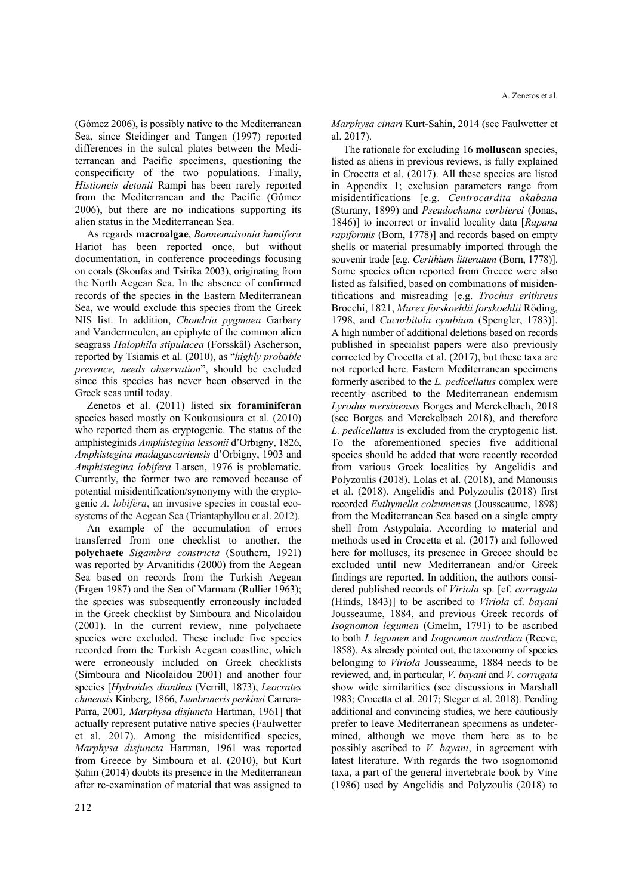(Gómez 2006), is possibly native to the Mediterranean Sea, since Steidinger and Tangen (1997) reported differences in the sulcal plates between the Mediterranean and Pacific specimens, questioning the conspecificity of the two populations. Finally, *Histioneis detonii* Rampi has been rarely reported from the Mediterranean and the Pacific (Gómez 2006), but there are no indications supporting its alien status in the Mediterranean Sea.

As regards **macroalgae**, *Bonnemaisonia hamifera* Hariot has been reported once, but without documentation, in conference proceedings focusing on corals (Skoufas and Tsirika 2003), originating from the North Aegean Sea. In the absence of confirmed records of the species in the Eastern Mediterranean Sea, we would exclude this species from the Greek NIS list. In addition, *Chondria pygmaea* Garbary and Vandermeulen, an epiphyte of the common alien seagrass *Halophila stipulacea* (Forsskål) Ascherson, reported by Tsiamis et al. (2010), as "*highly probable presence, needs observation*", should be excluded since this species has never been observed in the Greek seas until today.

Zenetos et al. (2011) listed six **foraminiferan** species based mostly on Koukousioura et al. (2010) who reported them as cryptogenic. The status of the amphisteginids *Amphistegina lessonii* d'Orbigny, 1826, *Amphistegina madagascariensis* d'Orbigny, 1903 and *Amphistegina lobifera* Larsen, 1976 is problematic. Currently, the former two are removed because of potential misidentification/synonymy with the cryptogenic *A. lobifera*, an invasive species in coastal ecosystems of the Aegean Sea (Triantaphyllou et al. 2012).

An example of the accumulation of errors transferred from one checklist to another, the **polychaete** *Sigambra constricta* (Southern, 1921) was reported by Arvanitidis (2000) from the Aegean Sea based on records from the Turkish Aegean (Ergen 1987) and the Sea of Marmara (Rullier 1963); the species was subsequently erroneously included in the Greek checklist by Simboura and Nicolaidou (2001). In the current review, nine polychaete species were excluded. These include five species recorded from the Turkish Aegean coastline, which were erroneously included on Greek checklists (Simboura and Nicolaidou 2001) and another four species [*Hydroides dianthus* (Verrill, 1873), *Leocrates chinensis* Kinberg, 1866, *Lumbrineris perkinsi* Carrera-Parra, 2001*, Marphysa disjuncta* Hartman, 1961] that actually represent putative native species (Faulwetter et al. 2017). Among the misidentified species, *Marphysa disjuncta* Hartman, 1961 was reported from Greece by Simboura et al. (2010), but Kurt Şahin (2014) doubts its presence in the Mediterranean after re-examination of material that was assigned to

*Marphysa cinari* Kurt-Sahin, 2014 (see Faulwetter et al. 2017).

The rationale for excluding 16 **molluscan** species, listed as aliens in previous reviews, is fully explained in Crocetta et al. (2017). All these species are listed in Appendix 1; exclusion parameters range from misidentifications [e.g. *Centrocardita akabana* (Sturany, 1899) and *Pseudochama corbierei* (Jonas, 1846)] to incorrect or invalid locality data [*Rapana rapiformis* (Born, 1778)] and records based on empty shells or material presumably imported through the souvenir trade [e.g. *Cerithium litteratum* (Born, 1778)]. Some species often reported from Greece were also listed as falsified, based on combinations of misidentifications and misreading [e.g. *Trochus erithreus*  Brocchi, 1821, *Murex forskoehlii forskoehlii* Röding, 1798, and *Cucurbitula cymbium* (Spengler, 1783)]. A high number of additional deletions based on records published in specialist papers were also previously corrected by Crocetta et al. (2017), but these taxa are not reported here. Eastern Mediterranean specimens formerly ascribed to the *L. pedicellatus* complex were recently ascribed to the Mediterranean endemism *Lyrodus mersinensis* Borges and Merckelbach, 2018 (see Borges and Merckelbach 2018), and therefore *L. pedicellatus* is excluded from the cryptogenic list. To the aforementioned species five additional species should be added that were recently recorded from various Greek localities by Angelidis and Polyzoulis (2018), Lolas et al. (2018), and Manousis et al. (2018). Angelidis and Polyzoulis (2018) first recorded *Euthymella colzumensis* (Jousseaume, 1898) from the Mediterranean Sea based on a single empty shell from Astypalaia. According to material and methods used in Crocetta et al. (2017) and followed here for molluscs, its presence in Greece should be excluded until new Mediterranean and/or Greek findings are reported. In addition, the authors considered published records of *Viriola* sp. [cf. *corrugata* (Hinds, 1843)] to be ascribed to *Viriola* cf. *bayani* Jousseaume, 1884, and previous Greek records of *Isognomon legumen* (Gmelin, 1791) to be ascribed to both *I. legumen* and *Isognomon australica* (Reeve, 1858). As already pointed out, the taxonomy of species belonging to *Viriola* Jousseaume, 1884 needs to be reviewed, and, in particular, *V. bayani* and *V. corrugata* show wide similarities (see discussions in Marshall 1983; Crocetta et al. 2017; Steger et al. 2018). Pending additional and convincing studies, we here cautiously prefer to leave Mediterranean specimens as undetermined, although we move them here as to be possibly ascribed to *V. bayani*, in agreement with latest literature. With regards the two isognomonid taxa, a part of the general invertebrate book by Vine (1986) used by Angelidis and Polyzoulis (2018) to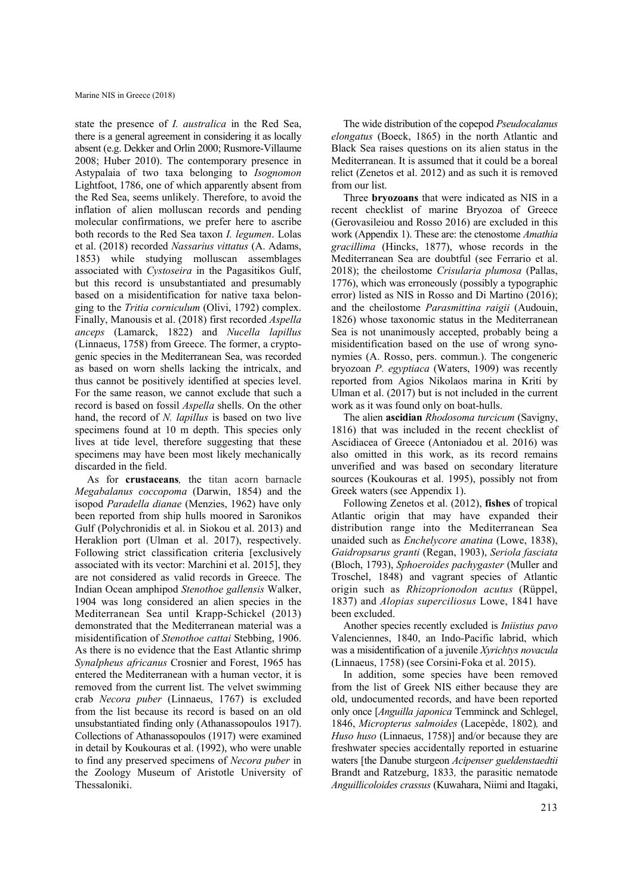state the presence of *I. australica* in the Red Sea, there is a general agreement in considering it as locally absent (e.g. Dekker and Orlin 2000; Rusmore-Villaume 2008; Huber 2010). The contemporary presence in Astypalaia of two taxa belonging to *Isognomon* Lightfoot, 1786, one of which apparently absent from the Red Sea, seems unlikely. Therefore, to avoid the inflation of alien molluscan records and pending molecular confirmations, we prefer here to ascribe both records to the Red Sea taxon *I. legumen*. Lolas et al. (2018) recorded *Nassarius vittatus* (A. Adams, 1853) while studying molluscan assemblages associated with *Cystoseira* in the Pagasitikos Gulf, but this record is unsubstantiated and presumably based on a misidentification for native taxa belonging to the *Tritia corniculum* (Olivi, 1792) complex. Finally, Manousis et al. (2018) first recorded *Aspella anceps* (Lamarck, 1822) and *Nucella lapillus* (Linnaeus, 1758) from Greece. The former, a cryptogenic species in the Mediterranean Sea, was recorded as based on worn shells lacking the intricalx, and thus cannot be positively identified at species level. For the same reason, we cannot exclude that such a record is based on fossil *Aspella* shells. On the other hand, the record of *N. lapillus* is based on two live specimens found at 10 m depth. This species only lives at tide level, therefore suggesting that these specimens may have been most likely mechanically discarded in the field.

As for **crustaceans***,* the titan acorn barnacle *Megabalanus coccopoma* (Darwin, 1854) and the isopod *Paradella dianae* (Menzies, 1962) have only been reported from ship hulls moored in Saronikos Gulf (Polychronidis et al. in Siokou et al. 2013) and Heraklion port (Ulman et al. 2017), respectively. Following strict classification criteria [exclusively associated with its vector: Marchini et al. 2015], they are not considered as valid records in Greece. The Indian Ocean amphipod *Stenothoe gallensis* Walker, 1904 was long considered an alien species in the Mediterranean Sea until Krapp-Schickel (2013) demonstrated that the Mediterranean material was a misidentification of *Stenothoe cattai* Stebbing, 1906. As there is no evidence that the East Atlantic shrimp *Synalpheus africanus* Crosnier and Forest, 1965 has entered the Mediterranean with a human vector, it is removed from the current list. The velvet swimming crab *Necora puber* (Linnaeus, 1767) is excluded from the list because its record is based on an old unsubstantiated finding only (Athanassopoulos 1917). Collections of Athanassopoulos (1917) were examined in detail by Koukouras et al. (1992), who were unable to find any preserved specimens of *Necora puber* in the Zoology Museum of Aristotle University of Thessaloniki.

The wide distribution of the copepod *Pseudocalanus elongatus* (Boeck, 1865) in the north Atlantic and Black Sea raises questions on its alien status in the Mediterranean. It is assumed that it could be a boreal relict (Zenetos et al. 2012) and as such it is removed from our list.

Three **bryozoans** that were indicated as NIS in a recent checklist of marine Bryozoa of Greece (Gerovasileiou and Rosso 2016) are excluded in this work (Appendix 1). These are: the ctenostome *Amathia gracillima* (Hincks, 1877), whose records in the Mediterranean Sea are doubtful (see Ferrario et al. 2018); the cheilostome *Crisularia plumosa* (Pallas, 1776), which was erroneously (possibly a typographic error) listed as NIS in Rosso and Di Martino (2016); and the cheilostome *Parasmittina raigii* (Audouin, 1826) whose taxonomic status in the Mediterranean Sea is not unanimously accepted, probably being a misidentification based on the use of wrong synonymies (A. Rosso, pers. commun.). The congeneric bryozoan *P. egyptiaca* (Waters, 1909) was recently reported from Agios Nikolaos marina in Kriti by Ulman et al. (2017) but is not included in the current work as it was found only on boat-hulls.

The alien **ascidian** *Rhodosoma turcicum* (Savigny, 1816) that was included in the recent checklist of Ascidiacea of Greece (Antoniadou et al. 2016) was also omitted in this work, as its record remains unverified and was based on secondary literature sources (Koukouras et al. 1995), possibly not from Greek waters (see Appendix 1).

Following Zenetos et al. (2012), **fishes** of tropical Atlantic origin that may have expanded their distribution range into the Mediterranean Sea unaided such as *Enchelycore anatina* (Lowe, 1838), *Gaidropsarus granti* (Regan, 1903), *Seriola fasciata*  (Bloch, 1793), *Sphoeroides pachygaster* (Muller and Troschel, 1848) and vagrant species of Atlantic origin such as *Rhizoprionodon acutus* (Rüppel, 1837) and *Alopias superciliosus* Lowe, 1841 have been excluded.

Another species recently excluded is *Iniistius pavo* Valenciennes, 1840, an Indo-Pacific labrid, which was a misidentification of a juvenile *Xyrichtys novacula*  (Linnaeus, 1758) (see Corsini-Foka et al. 2015).

In addition, some species have been removed from the list of Greek NIS either because they are old, undocumented records, and have been reported only once [*Anguilla japonica* Temminck and Schlegel, 1846, *Micropterus salmoides* (Lacepède, 1802)*,* and *Huso huso* (Linnaeus, 1758)] and/or because they are freshwater species accidentally reported in estuarine waters [the Danube sturgeon *Acipenser gueldenstaedtii*  Brandt and Ratzeburg, 1833*,* the parasitic nematode *Anguillicoloides crassus* (Kuwahara, Niimi and Itagaki,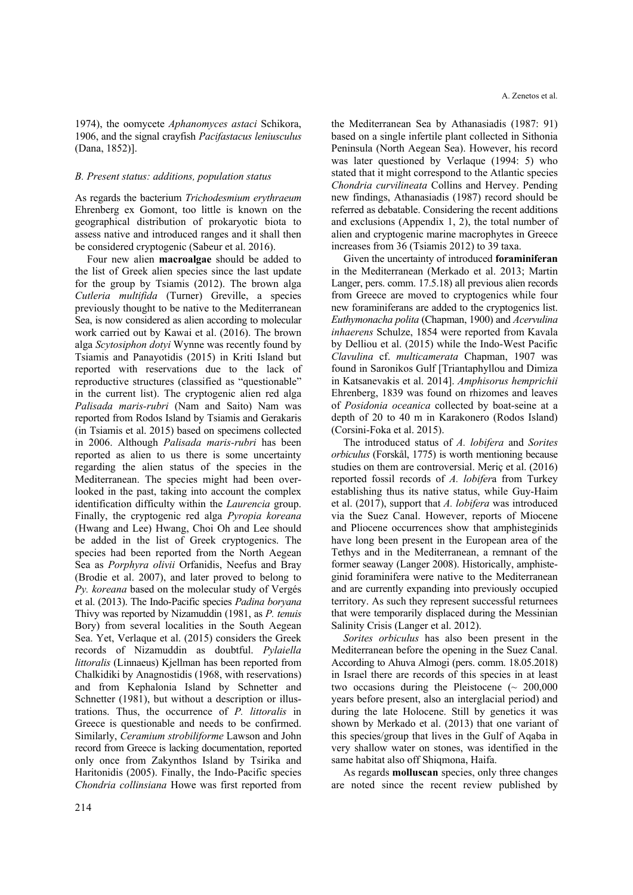1974), the oomycete *Aphanomyces astaci* Schikora, 1906, and the signal crayfish *Pacifastacus leniusculus*  (Dana, 1852)].

## *Β. Present status: additions, population status*

As regards the bacterium *Trichodesmium erythraeum*  Ehrenberg ex Gomont, too little is known on the geographical distribution of prokaryotic biota to assess native and introduced ranges and it shall then be considered cryptogenic (Sabeur et al. 2016).

Four new alien **macroalgae** should be added to the list of Greek alien species since the last update for the group by Tsiamis (2012). The brown alga *Cutleria multifida* (Turner) Greville, a species previously thought to be native to the Mediterranean Sea, is now considered as alien according to molecular work carried out by Kawai et al. (2016). The brown alga *Scytosiphon dotyi* Wynne was recently found by Tsiamis and Panayotidis (2015) in Kriti Island but reported with reservations due to the lack of reproductive structures (classified as "questionable" in the current list). The cryptogenic alien red alga *Palisada maris-rubri* (Nam and Saito) Nam was reported from Rodos Island by Tsiamis and Gerakaris (in Tsiamis et al. 2015) based on specimens collected in 2006. Although *Palisada maris-rubri* has been reported as alien to us there is some uncertainty regarding the alien status of the species in the Mediterranean. The species might had been overlooked in the past, taking into account the complex identification difficulty within the *Laurencia* group. Finally, the cryptogenic red alga *Pyropia koreana* (Hwang and Lee) Hwang, Choi Oh and Lee should be added in the list of Greek cryptogenics. The species had been reported from the North Aegean Sea as *Porphyra olivii* Orfanidis, Neefus and Bray (Brodie et al. 2007), and later proved to belong to *Py. koreana* based on the molecular study of Vergés et al. (2013). The Indo-Pacific species *Padina boryana* Thivy was reported by Nizamuddin (1981, as *P. tenuis* Bory) from several localities in the South Aegean Sea. Yet, Verlaque et al. (2015) considers the Greek records of Nizamuddin as doubtful. *Pylaiella littoralis* (Linnaeus) Kjellman has been reported from Chalkidiki by Anagnostidis (1968, with reservations) and from Kephalonia Island by Schnetter and Schnetter (1981), but without a description or illustrations. Thus, the occurrence of *P. littoralis* in Greece is questionable and needs to be confirmed. Similarly, *Ceramium strobiliforme* Lawson and John record from Greece is lacking documentation, reported only once from Zakynthos Island by Tsirika and Haritonidis (2005). Finally, the Indo-Pacific species *Chondria collinsiana* Howe was first reported from the Mediterranean Sea by Athanasiadis (1987: 91) based on a single infertile plant collected in Sithonia Peninsula (North Aegean Sea). However, his record was later questioned by Verlaque (1994: 5) who stated that it might correspond to the Atlantic species *Chondria curvilineata* Collins and Hervey. Pending new findings, Athanasiadis (1987) record should be referred as debatable. Considering the recent additions and exclusions (Appendix 1, 2), the total number of alien and cryptogenic marine macrophytes in Greece increases from 36 (Tsiamis 2012) to 39 taxa.

Given the uncertainty of introduced **foraminiferan** in the Mediterranean (Merkado et al. 2013; Martin Langer, pers. comm. 17.5.18) all previous alien records from Greece are moved to cryptogenics while four new foraminiferans are added to the cryptogenics list. *Euthymonacha polita* (Chapman, 1900) and *Acervulina inhaerens* Schulze, 1854 were reported from Kavala by Delliou et al. (2015) while the Indo-West Pacific *Clavulina* cf. *multicamerata* Chapman, 1907 was found in Saronikos Gulf [Triantaphyllou and Dimiza in Katsanevakis et al. 2014]. *Amphisorus hemprichii* Ehrenberg, 1839 was found on rhizomes and leaves of *Posidonia oceanica* collected by boat-seine at a depth of 20 to 40 m in Karakonero (Rodos Island) (Corsini-Foka et al. 2015).

The introduced status of *A. lobifera* and *Sorites orbiculus* (Forskål, 1775) is worth mentioning because studies on them are controversial. Meriç et al. (2016) reported fossil records of *A. lobifer*a from Turkey establishing thus its native status, while Guy‐Haim et al. (2017), support that *A. lobifera* was introduced via the Suez Canal. However, reports of Miocene and Pliocene occurrences show that amphisteginids have long been present in the European area of the Tethys and in the Mediterranean, a remnant of the former seaway (Langer 2008). Historically, amphisteginid foraminifera were native to the Mediterranean and are currently expanding into previously occupied territory. As such they represent successful returnees that were temporarily displaced during the Messinian Salinity Crisis (Langer et al. 2012).

*Sorites orbiculus* has also been present in the Mediterranean before the opening in the Suez Canal. According to Ahuva Almogi (pers. comm. 18.05.2018) in Israel there are records of this species in at least two occasions during the Pleistocene ( $\sim 200,000$ years before present, also an interglacial period) and during the late Holocene. Still by genetics it was shown by Merkado et al. (2013) that one variant of this species/group that lives in the Gulf of Aqaba in very shallow water on stones, was identified in the same habitat also off Shiqmona, Haifa.

As regards **molluscan** species, only three changes are noted since the recent review published by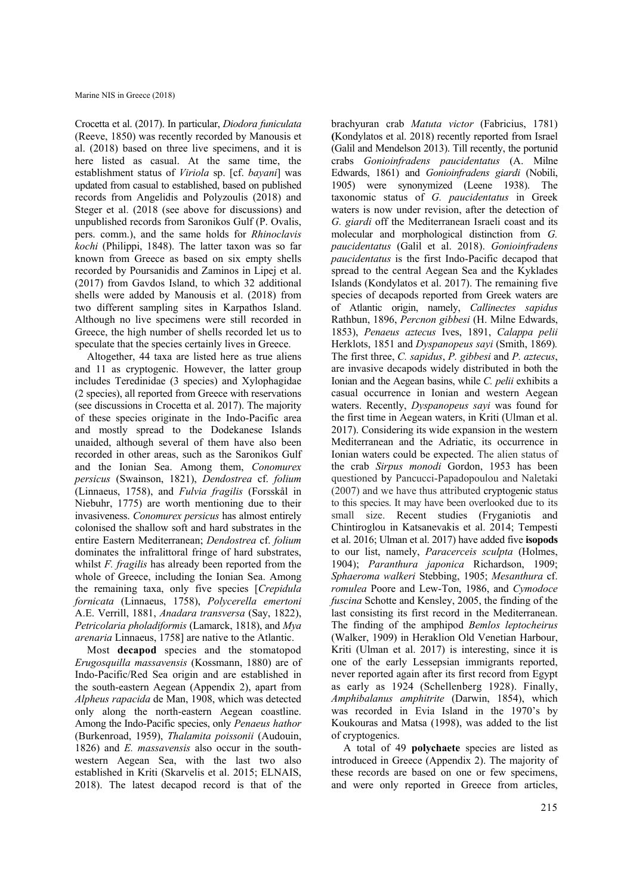Crocetta et al. (2017). In particular, *Diodora funiculata* (Reeve, 1850) was recently recorded by Manousis et al. (2018) based on three live specimens, and it is here listed as casual. At the same time, the establishment status of *Viriola* sp. [cf. *bayani*] was updated from casual to established, based on published records from Angelidis and Polyzoulis (2018) and Steger et al. (2018 (see above for discussions) and unpublished records from Saronikos Gulf (P. Ovalis, pers. comm.), and the same holds for *Rhinoclavis kochi* (Philippi, 1848). The latter taxon was so far known from Greece as based on six empty shells recorded by Poursanidis and Zaminos in Lipej et al. (2017) from Gavdos Island, to which 32 additional shells were added by Manousis et al. (2018) from two different sampling sites in Karpathos Island. Although no live specimens were still recorded in Greece, the high number of shells recorded let us to speculate that the species certainly lives in Greece.

Altogether, 44 taxa are listed here as true aliens and 11 as cryptogenic. However, the latter group includes Teredinidae (3 species) and Xylophagidae (2 species), all reported from Greece with reservations (see discussions in Crocetta et al. 2017). The majority of these species originate in the Indo-Pacific area and mostly spread to the Dodekanese Islands unaided, although several of them have also been recorded in other areas, such as the Saronikos Gulf and the Ionian Sea. Among them, *Conomurex persicus* (Swainson, 1821), *Dendostrea* cf. *folium* (Linnaeus, 1758), and *Fulvia fragilis* (Forsskål in Niebuhr, 1775) are worth mentioning due to their invasiveness. *Conomurex persicus* has almost entirely colonised the shallow soft and hard substrates in the entire Eastern Mediterranean; *Dendostrea* cf. *folium* dominates the infralittoral fringe of hard substrates, whilst *F. fragilis* has already been reported from the whole of Greece, including the Ionian Sea. Among the remaining taxa, only five species [*Crepidula fornicata* (Linnaeus, 1758), *Polycerella emertoni* A.E. Verrill, 1881, *Anadara transversa* (Say, 1822), *Petricolaria pholadiformis* (Lamarck, 1818), and *Mya arenaria* Linnaeus, 1758] are native to the Atlantic.

Most **decapod** species and the stomatopod *Erugosquilla massavensis* (Kossmann, 1880) are of Indo-Pacific/Red Sea origin and are established in the south-eastern Aegean (Appendix 2), apart from *Alpheus rapacida* de Man, 1908, which was detected only along the north-eastern Aegean coastline. Among the Indo-Pacific species, only *Penaeus hathor* (Burkenroad, 1959), *Thalamita poissonii* (Audouin, 1826) and *E. massavensis* also occur in the southwestern Aegean Sea, with the last two also established in Kriti (Skarvelis et al. 2015; ELNAIS, 2018). The latest decapod record is that of the

brachyuran crab *Matuta victor* (Fabricius, 1781) **(**Kondylatos et al. 2018) recently reported from Israel (Galil and Mendelson 2013). Till recently, the portunid crabs *Gonioinfradens paucidentatus* (A. Milne Edwards, 1861) and *Gonioinfradens giardi* (Nobili, 1905) were synonymized (Leene 1938). The taxonomic status of *G. paucidentatus* in Greek waters is now under revision, after the detection of *G. giardi* off the Mediterranean Israeli coast and its molecular and morphological distinction from *G. paucidentatus* (Galil et al. 2018). *Gonioinfradens paucidentatus* is the first Indo-Pacific decapod that spread to the central Aegean Sea and the Kyklades Islands (Kondylatos et al. 2017). The remaining five species of decapods reported from Greek waters are of Atlantic origin, namely, *Callinectes sapidus* Rathbun, 1896, *Percnon gibbesi* (H. Milne Edwards, 1853), *Penaeus aztecus* Ives, 1891, *Calappa pelii* Herklots, 1851 and *Dyspanopeus sayi* (Smith, 1869)*.*  The first three, *C. sapidus*, *P. gibbesi* and *P. aztecus*, are invasive decapods widely distributed in both the Ionian and the Aegean basins, while *C. pelii* exhibits a casual occurrence in Ionian and western Aegean waters. Recently, *Dyspanopeus sayi* was found for the first time in Aegean waters, in Kriti (Ulman et al. 2017). Considering its wide expansion in the western Mediterranean and the Adriatic, its occurrence in Ionian waters could be expected. The alien status of the crab *Sirpus monodi* Gordon, 1953 has been questioned by Pancucci-Papadopoulou and Naletaki (2007) and we have thus attributed cryptogenic status to this species. It may have been overlooked due to its small size. Recent studies (Fryganiotis and Chintiroglou in Katsanevakis et al. 2014; Tempesti et al. 2016; Ulman et al. 2017) have added five **isopods** to our list, namely, *Paracerceis sculpta* (Holmes, 1904); *Paranthura japonica* Richardson, 1909; *Sphaeroma walkeri* Stebbing, 1905; *Mesanthura* cf. *romulea* Poore and Lew-Ton, 1986, and *Cymodoce fuscina* Schotte and Kensley, 2005, the finding of the last consisting its first record in the Mediterranean. The finding of the amphipod *Bemlos leptocheirus*  (Walker, 1909) in Heraklion Old Venetian Harbour, Kriti (Ulman et al. 2017) is interesting, since it is one of the early Lessepsian immigrants reported, never reported again after its first record from Egypt as early as 1924 (Schellenberg 1928). Finally, *Amphibalanus amphitrite* (Darwin, 1854), which was recorded in Evia Island in the 1970's by Koukouras and Matsa (1998), was added to the list of cryptogenics.

A total of 49 **polychaete** species are listed as introduced in Greece (Appendix 2). The majority of these records are based on one or few specimens, and were only reported in Greece from articles,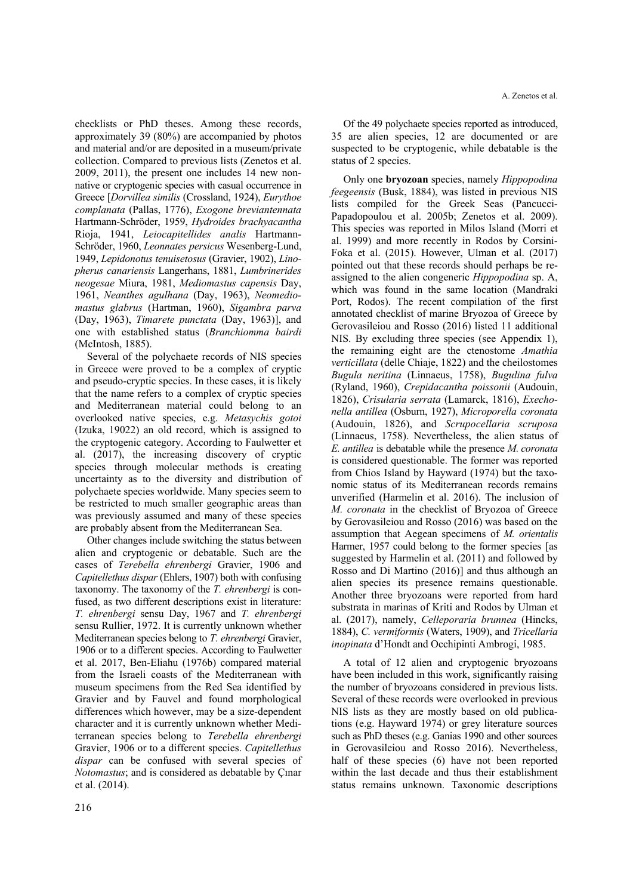checklists or PhD theses. Among these records, approximately 39 (80%) are accompanied by photos and material and/or are deposited in a museum/private collection. Compared to previous lists (Zenetos et al. 2009, 2011), the present one includes 14 new nonnative or cryptogenic species with casual occurrence in Greece [*Dorvillea similis* (Crossland, 1924), *Eurythoe complanata* (Pallas, 1776), *Exogone breviantennata*  Hartmann-Schröder, 1959, *Hydroides brachyacantha*  Rioja, 1941, *Leiocapitellides analis* Hartmann-Schröder, 1960, *Leonnates persicus* Wesenberg-Lund, 1949, *Lepidonotus tenuisetosus* (Gravier, 1902), *Linopherus canariensis* Langerhans, 1881, *Lumbrinerides neogesae* Miura, 1981, *Mediomastus capensis* Day, 1961, *Neanthes agulhana* (Day, 1963), *Neomediomastus glabrus* (Hartman, 1960), *Sigambra parva* (Day, 1963), *Timarete punctata* (Day, 1963)], and one with established status (*Branchiomma bairdi*  (McIntosh, 1885).

Several of the polychaete records of NIS species in Greece were proved to be a complex of cryptic and pseudo-cryptic species. In these cases, it is likely that the name refers to a complex of cryptic species and Mediterranean material could belong to an overlooked native species, e.g. *Metasychis gotoi* (Izuka, 19022) an old record, which is assigned to the cryptogenic category. According to Faulwetter et al. (2017), the increasing discovery of cryptic species through molecular methods is creating uncertainty as to the diversity and distribution of polychaete species worldwide. Many species seem to be restricted to much smaller geographic areas than was previously assumed and many of these species are probably absent from the Mediterranean Sea.

Other changes include switching the status between alien and cryptogenic or debatable. Such are the cases of *Terebella ehrenbergi* Gravier, 1906 and *Capitellethus dispar* (Ehlers, 1907) both with confusing taxonomy. The taxonomy of the *T. ehrenbergi* is confused, as two different descriptions exist in literature: *T. ehrenbergi* sensu Day, 1967 and *T. ehrenbergi* sensu Rullier, 1972. It is currently unknown whether Mediterranean species belong to *T. ehrenbergi* Gravier, 1906 or to a different species. According to Faulwetter et al. 2017, Ben-Eliahu (1976b) compared material from the Israeli coasts of the Mediterranean with museum specimens from the Red Sea identified by Gravier and by Fauvel and found morphological differences which however, may be a size-dependent character and it is currently unknown whether Mediterranean species belong to *Terebella ehrenbergi* Gravier, 1906 or to a different species. *Capitellethus dispar* can be confused with several species of *Notomastus*; and is considered as debatable by Çınar et al. (2014).

Of the 49 polychaete species reported as introduced, 35 are alien species, 12 are documented or are suspected to be cryptogenic, while debatable is the status of 2 species.

Only one **bryozoan** species, namely *Hippopodina feegeensis* (Busk, 1884), was listed in previous NIS lists compiled for the Greek Seas (Pancucci-Papadopoulou et al. 2005b; Zenetos et al. 2009). This species was reported in Milos Island (Morri et al. 1999) and more recently in Rodos by Corsini-Foka et al. (2015). However, Ulman et al. (2017) pointed out that these records should perhaps be reassigned to the alien congeneric *Hippopodina* sp. A, which was found in the same location (Mandraki Port, Rodos). The recent compilation of the first annotated checklist of marine Bryozoa of Greece by Gerovasileiou and Rosso (2016) listed 11 additional NIS. By excluding three species (see Appendix 1), the remaining eight are the ctenostome *Amathia verticillata* (delle Chiaje, 1822) and the cheilostomes *Bugula neritina* (Linnaeus, 1758), *Bugulina fulva* (Ryland, 1960), *Crepidacantha poissonii* (Audouin, 1826), *Crisularia serrata* (Lamarck, 1816), *Exechonella antillea* (Osburn, 1927), *Microporella coronata*  (Audouin, 1826), and *Scrupocellaria scruposa*  (Linnaeus, 1758). Nevertheless, the alien status of *E. antillea* is debatable while the presence *M. coronata* is considered questionable. The former was reported from Chios Island by Hayward (1974) but the taxonomic status of its Mediterranean records remains unverified (Harmelin et al. 2016). The inclusion of *M. coronata* in the checklist of Bryozoa of Greece by Gerovasileiou and Rosso (2016) was based on the assumption that Aegean specimens of *M. orientalis* Harmer, 1957 could belong to the former species [as suggested by Harmelin et al. (2011) and followed by Rosso and Di Martino (2016)] and thus although an alien species its presence remains questionable. Another three bryozoans were reported from hard substrata in marinas of Kriti and Rodos by Ulman et al. (2017), namely, *Celleporaria brunnea* (Hincks, 1884), *C. vermiformis* (Waters, 1909), and *Tricellaria inopinata* d'Hondt and Occhipinti Ambrogi, 1985.

A total of 12 alien and cryptogenic bryozoans have been included in this work, significantly raising the number of bryozoans considered in previous lists. Several of these records were overlooked in previous NIS lists as they are mostly based on old publications (e.g. Hayward 1974) or grey literature sources such as PhD theses (e.g. Ganias 1990 and other sources in Gerovasileiou and Rosso 2016). Nevertheless, half of these species (6) have not been reported within the last decade and thus their establishment status remains unknown. Taxonomic descriptions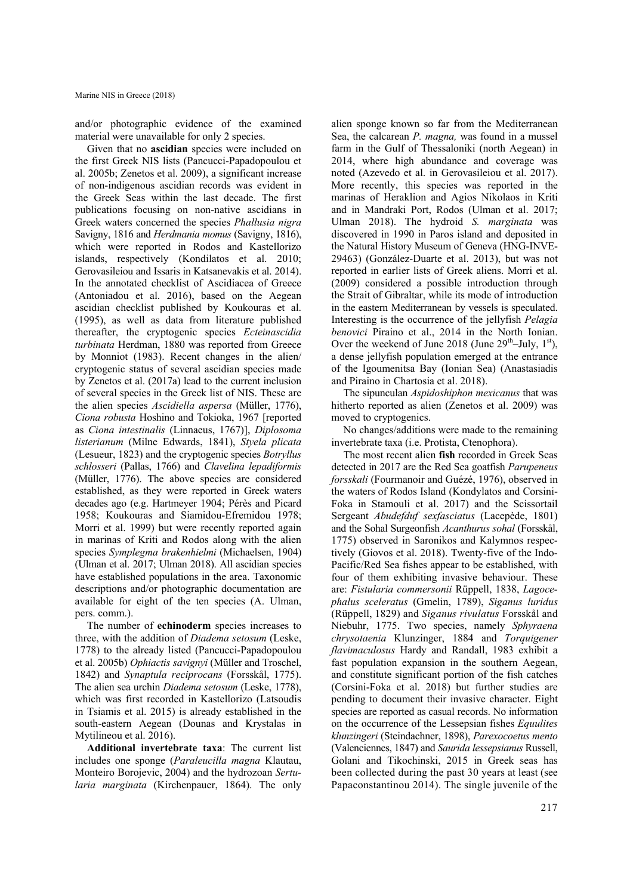and/or photographic evidence of the examined material were unavailable for only 2 species.

Given that no **ascidian** species were included on the first Greek NIS lists (Pancucci-Papadopoulou et al. 2005b; Zenetos et al. 2009), a significant increase of non-indigenous ascidian records was evident in the Greek Seas within the last decade. The first publications focusing on non-native ascidians in Greek waters concerned the species *Phallusia nigra* Savigny, 1816 and *Herdmania momus* (Savigny, 1816), which were reported in Rodos and Kastellorizo islands, respectively (Kondilatos et al. 2010; Gerovasileiou and Issaris in Katsanevakis et al. 2014). In the annotated checklist of Ascidiacea of Greece (Antoniadou et al. 2016), based on the Aegean ascidian checklist published by Koukouras et al. (1995), as well as data from literature published thereafter, the cryptogenic species *Ecteinascidia turbinata* Herdman, 1880 was reported from Greece by Monniot (1983). Recent changes in the alien/ cryptogenic status of several ascidian species made by Zenetos et al. (2017a) lead to the current inclusion of several species in the Greek list of NIS. These are the alien species *Ascidiella aspersa* (Müller, 1776), *Ciona robusta* Hoshino and Tokioka, 1967 [reported as *Ciona intestinalis* (Linnaeus, 1767)], *Diplosoma listerianum* (Milne Edwards, 1841), *Styela plicata* (Lesueur, 1823) and the cryptogenic species *Botryllus schlosseri* (Pallas, 1766) and *Clavelina lepadiformis* (Müller, 1776). The above species are considered established, as they were reported in Greek waters decades ago (e.g. Hartmeyer 1904; Pérès and Picard 1958; Koukouras and Siamidou-Efremidou 1978; Morri et al. 1999) but were recently reported again in marinas of Kriti and Rodos along with the alien species *Symplegma brakenhielmi* (Michaelsen, 1904) (Ulman et al. 2017; Ulman 2018). All ascidian species have established populations in the area. Taxonomic descriptions and/or photographic documentation are available for eight of the ten species (A. Ulman, pers. comm.).

The number of **echinoderm** species increases to three, with the addition of *Diadema setosum* (Leske, 1778) to the already listed (Pancucci-Papadopoulou et al. 2005b) *Ophiactis savignyi* (Müller and Troschel, 1842) and *Synaptula reciprocans* (Forsskål, 1775). The alien sea urchin *Diadema setosum* (Leske, 1778), which was first recorded in Kastellorizo (Latsoudis in Tsiamis et al. 2015) is already established in the south-eastern Aegean (Dounas and Krystalas in Mytilineou et al. 2016).

**Additional invertebrate taxa**: The current list includes one sponge (*Paraleucilla magna* Klautau, Monteiro Borojevic, 2004) and the hydrozoan *Sertularia marginata* (Kirchenpauer, 1864). The only

alien sponge known so far from the Mediterranean Sea, the calcarean *P. magna,* was found in a mussel farm in the Gulf of Thessaloniki (north Aegean) in 2014, where high abundance and coverage was noted (Azevedo et al. in Gerovasileiou et al. 2017). More recently, this species was reported in the marinas of Heraklion and Agios Nikolaos in Kriti and in Mandraki Port, Rodos (Ulman et al. 2017; Ulman 2018). The hydroid *S. marginata* was discovered in 1990 in Paros island and deposited in the Natural History Museum of Geneva (HNG-INVE-29463) (González-Duarte et al. 2013), but was not reported in earlier lists of Greek aliens. Morri et al. (2009) considered a possible introduction through the Strait of Gibraltar, while its mode of introduction in the eastern Mediterranean by vessels is speculated. Interesting is the occurrence of the jellyfish *Pelagia benovici* Piraino et al., 2014 in the North Ionian. Over the weekend of June 2018 (June  $29<sup>th</sup>$ –July,  $1<sup>st</sup>$ ), a dense jellyfish population emerged at the entrance of the Igoumenitsa Bay (Ionian Sea) (Anastasiadis and Piraino in Chartosia et al. 2018).

The sipunculan *Aspidoshiphon mexicanus* that was hitherto reported as alien (Zenetos et al. 2009) was moved to cryptogenics.

No changes/additions were made to the remaining invertebrate taxa (i.e. Protista, Ctenophora).

The most recent alien **fish** recorded in Greek Seas detected in 2017 are the Red Sea goatfish *Parupeneus forsskali* (Fourmanoir and Guézé, 1976), observed in the waters of Rodos Island (Kondylatos and Corsini-Foka in Stamouli et al. 2017) and the Scissortail Sergeant *Abudefduf sexfasciatus* (Lacepède, 1801) and the Sohal Surgeonfish *Acanthurus sohal* (Forsskål, 1775) observed in Saronikos and Kalymnos respectively (Giovos et al. 2018). Twenty-five of the Indo-Pacific/Red Sea fishes appear to be established, with four of them exhibiting invasive behaviour. These are: *Fistularia commersonii* Rüppell, 1838, *Lagocephalus sceleratus* (Gmelin, 1789), *Siganus luridus* (Rüppell, 1829) and *Siganus rivulatus* Forsskål and Niebuhr, 1775. Two species, namely *Sphyraena chrysotaenia* Klunzinger, 1884 and *Torquigener flavimaculosus* Hardy and Randall, 1983 exhibit a fast population expansion in the southern Aegean, and constitute significant portion of the fish catches (Corsini-Foka et al. 2018) but further studies are pending to document their invasive character. Eight species are reported as casual records. No information on the occurrence of the Lessepsian fishes *Equulites klunzingeri* (Steindachner, 1898), *Parexocoetus mento* (Valenciennes, 1847) and *Saurida lessepsianus* Russell, Golani and Tikochinski, 2015 in Greek seas has been collected during the past 30 years at least (see Papaconstantinou 2014). The single juvenile of the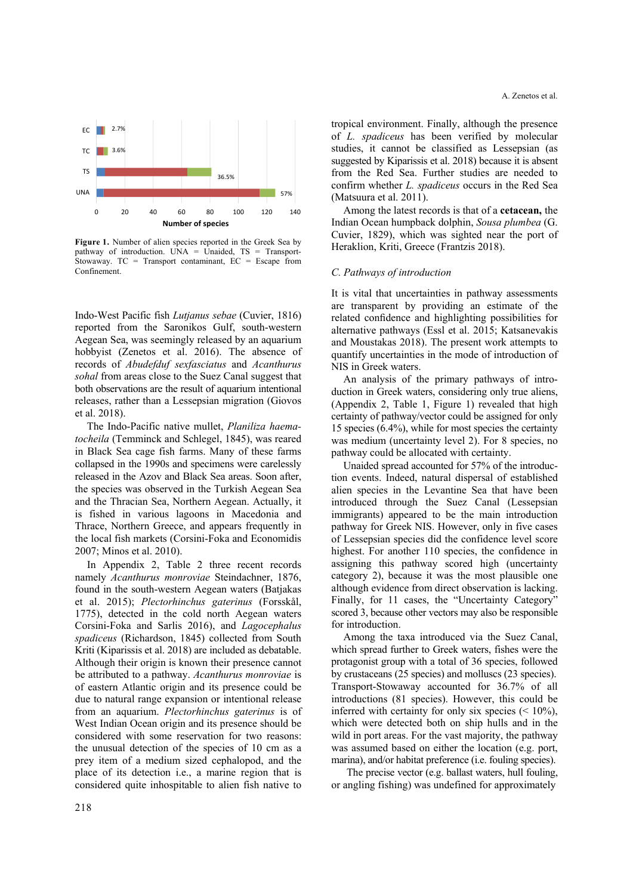

**Figure 1.** Number of alien species reported in the Greek Sea by pathway of introduction. UNA = Unaided, TS = Transport-Stowaway. TC = Transport contaminant, EC = Escape from Confinement.

Indo-West Pacific fish *Lutjanus sebae* (Cuvier, 1816) reported from the Saronikos Gulf, south-western Aegean Sea, was seemingly released by an aquarium hobbyist (Zenetos et al. 2016). The absence of records of *Abudefduf sexfasciatus* and *Acanthurus sohal* from areas close to the Suez Canal suggest that both observations are the result of aquarium intentional releases, rather than a Lessepsian migration (Giovos et al. 2018).

The Indo-Pacific native mullet, *Planiliza haematocheila* (Temminck and Schlegel, 1845), was reared in Black Sea cage fish farms. Many of these farms collapsed in the 1990s and specimens were carelessly released in the Azov and Black Sea areas. Soon after, the species was observed in the Turkish Aegean Sea and the Thracian Sea, Northern Aegean. Actually, it is fished in various lagoons in Macedonia and Thrace, Northern Greece, and appears frequently in the local fish markets (Corsini-Foka and Economidis 2007; Minos et al. 2010).

In Appendix 2, Table 2 three recent records namely *Acanthurus monroviae* Steindachner, 1876, found in the south-western Aegean waters (Batjakas et al. 2015); *Plectorhinchus gaterinus* (Forsskål, 1775), detected in the cold north Aegean waters Corsini-Foka and Sarlis 2016), and *Lagocephalus spadiceus* (Richardson, 1845) collected from South Kriti (Kiparissis et al. 2018) are included as debatable. Although their origin is known their presence cannot be attributed to a pathway. *Acanthurus monroviae* is of eastern Atlantic origin and its presence could be due to natural range expansion or intentional release from an aquarium. *Plectorhinchus gaterinus* is of West Indian Ocean origin and its presence should be considered with some reservation for two reasons: the unusual detection of the species of 10 cm as a prey item of a medium sized cephalopod, and the place of its detection i.e., a marine region that is considered quite inhospitable to alien fish native to

tropical environment. Finally, although the presence of *L. spadiceus* has been verified by molecular studies, it cannot be classified as Lessepsian (as suggested by Kiparissis et al. 2018) because it is absent from the Red Sea. Further studies are needed to confirm whether *L. spadiceus* occurs in the Red Sea (Matsuura et al. 2011).

Among the latest records is that of a **cetacean,** the Indian Ocean humpback dolphin, *Sousa plumbea* (G. Cuvier, 1829), which was sighted near the port of Heraklion, Kriti, Greece (Frantzis 2018).

#### *C. Pathways of introduction*

It is vital that uncertainties in pathway assessments are transparent by providing an estimate of the related confidence and highlighting possibilities for alternative pathways (Essl et al. 2015; Katsanevakis and Moustakas 2018). The present work attempts to quantify uncertainties in the mode of introduction of NIS in Greek waters.

An analysis of the primary pathways of introduction in Greek waters, considering only true aliens, (Appendix 2, Table 1, Figure 1) revealed that high certainty of pathway/vector could be assigned for only 15 species (6.4%), while for most species the certainty was medium (uncertainty level 2). For 8 species, no pathway could be allocated with certainty.

Unaided spread accounted for 57% of the introduction events. Indeed, natural dispersal of established alien species in the Levantine Sea that have been introduced through the Suez Canal (Lessepsian immigrants) appeared to be the main introduction pathway for Greek NIS. However, only in five cases of Lessepsian species did the confidence level score highest. For another 110 species, the confidence in assigning this pathway scored high (uncertainty category 2), because it was the most plausible one although evidence from direct observation is lacking. Finally, for 11 cases, the "Uncertainty Category" scored 3, because other vectors may also be responsible for introduction.

Among the taxa introduced via the Suez Canal, which spread further to Greek waters, fishes were the protagonist group with a total of 36 species, followed by crustaceans (25 species) and molluscs (23 species). Transport-Stowaway accounted for 36.7% of all introductions (81 species). However, this could be inferred with certainty for only six species  $($  < 10%), which were detected both on ship hulls and in the wild in port areas. For the vast majority, the pathway was assumed based on either the location (e.g. port, marina), and/or habitat preference (i.e. fouling species).

The precise vector (e.g. ballast waters, hull fouling, or angling fishing) was undefined for approximately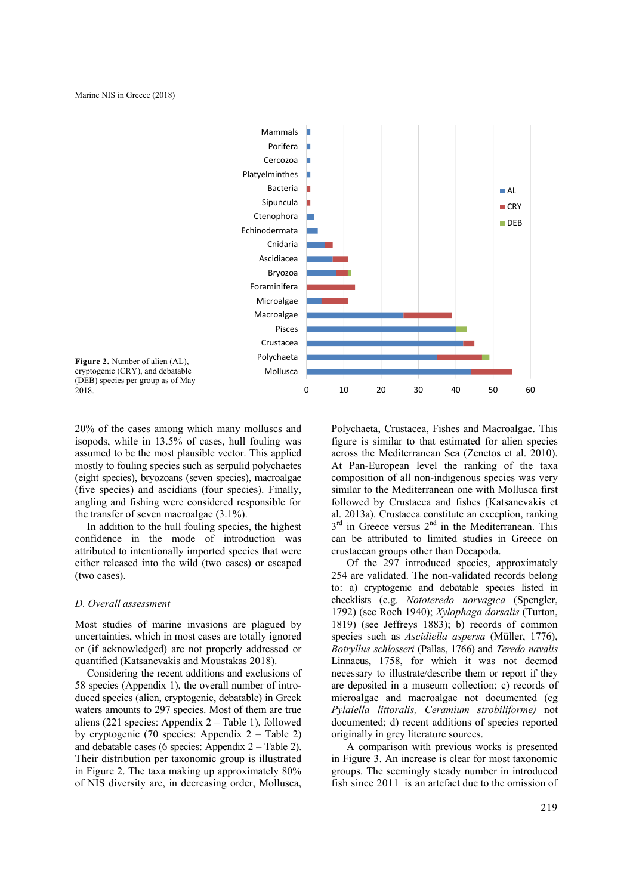

**Figure 2.** Number of alien (AL), cryptogenic (CRY), and debatable (DEB) species per group as of May 2018.

20% of the cases among which many molluscs and isopods, while in 13.5% of cases, hull fouling was assumed to be the most plausible vector. This applied mostly to fouling species such as serpulid polychaetes (eight species), bryozoans (seven species), macroalgae (five species) and ascidians (four species). Finally, angling and fishing were considered responsible for the transfer of seven macroalgae (3.1%).

In addition to the hull fouling species, the highest confidence in the mode of introduction was attributed to intentionally imported species that were either released into the wild (two cases) or escaped (two cases).

#### *D. Overall assessment*

Most studies of marine invasions are plagued by uncertainties, which in most cases are totally ignored or (if acknowledged) are not properly addressed or quantified (Katsanevakis and Moustakas 2018).

Considering the recent additions and exclusions of 58 species (Appendix 1), the overall number of introduced species (alien, cryptogenic, debatable) in Greek waters amounts to 297 species. Most of them are true aliens (221 species: Appendix 2 – Table 1), followed by cryptogenic (70 species: Appendix 2 – Table 2) and debatable cases (6 species: Appendix  $2 -$  Table 2). Their distribution per taxonomic group is illustrated in Figure 2. The taxa making up approximately 80% of NIS diversity are, in decreasing order, Mollusca,

Polychaeta, Crustacea, Fishes and Macroalgae. This figure is similar to that estimated for alien species across the Mediterranean Sea (Zenetos et al. 2010). At Pan-European level the ranking of the taxa composition of all non-indigenous species was very similar to the Mediterranean one with Mollusca first followed by Crustacea and fishes (Katsanevakis et al. 2013a). Crustacea constitute an exception, ranking  $3<sup>rd</sup>$  in Greece versus  $2<sup>nd</sup>$  in the Mediterranean. This can be attributed to limited studies in Greece on crustacean groups other than Decapoda.

Of the 297 introduced species, approximately 254 are validated. The non-validated records belong to: a) cryptogenic and debatable species listed in checklists (e.g. *Nototeredo norvagica* (Spengler, 1792) (see Roch 1940); *Xylophaga dorsalis* (Turton, 1819) (see Jeffreys 1883); b) records of common species such as *Ascidiella aspersa* (Müller, 1776), *Botryllus schlosseri* (Pallas, 1766) and *Teredo navalis* Linnaeus, 1758, for which it was not deemed necessary to illustrate/describe them or report if they are deposited in a museum collection; c) records of microalgae and macroalgae not documented (eg *Pylaiella littoralis, Ceramium strobiliforme)* not documented; d) recent additions of species reported originally in grey literature sources.

A comparison with previous works is presented in Figure 3. An increase is clear for most taxonomic groups. The seemingly steady number in introduced fish since 2011 is an artefact due to the omission of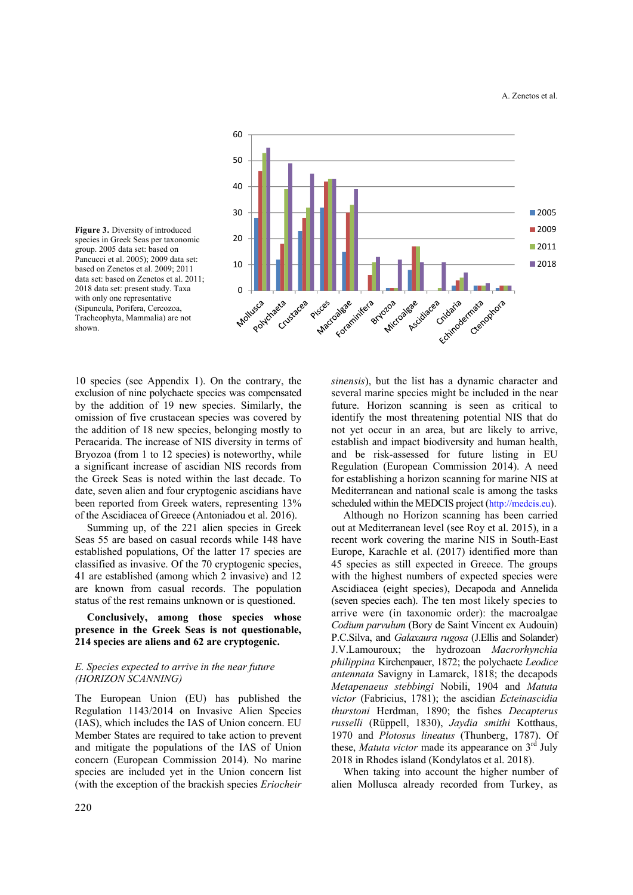

**Figure 3.** Diversity of introduced species in Greek Seas per taxonomic group. 2005 data set: based on Pancucci et al. 2005); 2009 data set: based on Zenetos et al. 2009; 2011 data set: based on Zenetos et al. 2011; 2018 data set: present study. Taxa with only one representative (Sipuncula, Porifera, Cercozoa, Tracheophyta, Mammalia) are not shown.

10 species (see Appendix 1). On the contrary, the exclusion of nine polychaete species was compensated by the addition of 19 new species. Similarly, the omission of five crustacean species was covered by the addition of 18 new species, belonging mostly to Peracarida. The increase of NIS diversity in terms of Bryozoa (from 1 to 12 species) is noteworthy, while a significant increase of ascidian NIS records from the Greek Seas is noted within the last decade. To date, seven alien and four cryptogenic ascidians have been reported from Greek waters, representing 13% of the Ascidiacea of Greece (Antoniadou et al. 2016).

Summing up, of the 221 alien species in Greek Seas 55 are based on casual records while 148 have established populations, Of the latter 17 species are classified as invasive. Of the 70 cryptogenic species, 41 are established (among which 2 invasive) and 12 are known from casual records. The population status of the rest remains unknown or is questioned.

## **Conclusively, among those species whose presence in the Greek Seas is not questionable, 214 species are aliens and 62 are cryptogenic.**

## *E. Species expected to arrive in the near future (HORIZON SCANNING)*

The European Union (EU) has published the Regulation 1143/2014 on Invasive Alien Species (IAS), which includes the IAS of Union concern. EU Member States are required to take action to prevent and mitigate the populations of the IAS of Union concern (European Commission 2014). No marine species are included yet in the Union concern list (with the exception of the brackish species *Eriocheir*  *sinensis*), but the list has a dynamic character and several marine species might be included in the near future. Horizon scanning is seen as critical to identify the most threatening potential NIS that do not yet occur in an area, but are likely to arrive, establish and impact biodiversity and human health, and be risk-assessed for future listing in EU Regulation (European Commission 2014). A need for establishing a horizon scanning for marine NIS at Mediterranean and national scale is among the tasks scheduled within the MEDCIS project (http://medcis.eu).

Although no Horizon scanning has been carried out at Mediterranean level (see Roy et al. 2015), in a recent work covering the marine NIS in South-East Europe, Karachle et al. (2017) identified more than 45 species as still expected in Greece. The groups with the highest numbers of expected species were Ascidiacea (eight species), Decapoda and Annelida (seven species each). The ten most likely species to arrive were (in taxonomic order): the macroalgae *Codium parvulum* (Bory de Saint Vincent ex Audouin) P.C.Silva, and *Galaxaura rugosa* (J.Ellis and Solander) J.V.Lamouroux; the hydrozoan *Macrorhynchia philippina* Kirchenpauer, 1872; the polychaete *Leodice antennata* Savigny in Lamarck, 1818; the decapods *Metapenaeus stebbingi* Nobili, 1904 and *Matuta victor* (Fabricius, 1781); the ascidian *Ecteinascidia thurstoni* Herdman, 1890; the fishes *Decapterus russelli* (Rüppell, 1830), *Jaydia smithi* Kotthaus, 1970 and *Plotosus lineatus* (Thunberg, 1787). Of these, *Matuta victor* made its appearance on 3rd July 2018 in Rhodes island (Kondylatos et al. 2018).

When taking into account the higher number of alien Mollusca already recorded from Turkey, as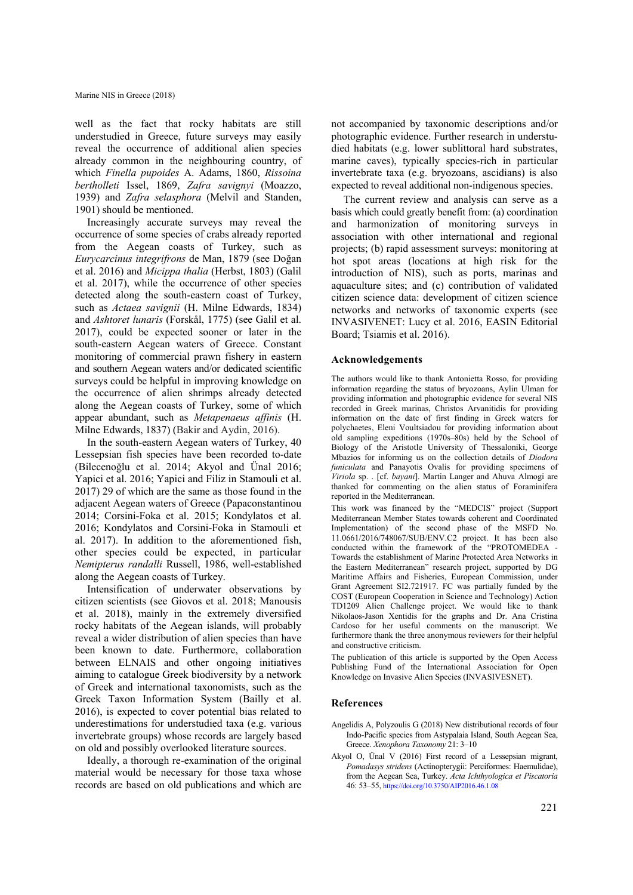well as the fact that rocky habitats are still understudied in Greece, future surveys may easily reveal the occurrence of additional alien species already common in the neighbouring country, of which *Finella pupoides* A. Adams, 1860, *Rissoina bertholleti* Issel, 1869, *Zafra savignyi* (Moazzo, 1939) and *Zafra selasphora* (Melvil and Standen, 1901) should be mentioned.

Increasingly accurate surveys may reveal the occurrence of some species of crabs already reported from the Aegean coasts of Turkey, such as *Eurycarcinus integrifrons* de Man, 1879 (see Doğan et al. 2016) and *Micippa thalia* (Herbst, 1803) (Galil et al. 2017), while the occurrence of other species detected along the south-eastern coast of Turkey, such as *Actaea savignii* (H. Milne Edwards, 1834) and *Ashtoret lunaris* (Forskål, 1775) (see Galil et al. 2017), could be expected sooner or later in the south-eastern Aegean waters of Greece. Constant monitoring of commercial prawn fishery in eastern and southern Aegean waters and/or dedicated scientific surveys could be helpful in improving knowledge on the occurrence of alien shrimps already detected along the Aegean coasts of Turkey, some of which appear abundant, such as *Metapenaeus affinis* (H. Milne Edwards, 1837) (Bakir and Aydin, 2016).

In the south-eastern Aegean waters of Turkey, 40 Lessepsian fish species have been recorded to-date (Bilecenoğlu et al. 2014; Akyol and Ünal 2016; Yapici et al. 2016; Yapici and Filiz in Stamouli et al. 2017) 29 of which are the same as those found in the adjacent Aegean waters of Greece (Papaconstantinou 2014; Corsini-Foka et al. 2015; Kondylatos et al. 2016; Kondylatos and Corsini-Foka in Stamouli et al. 2017). In addition to the aforementioned fish, other species could be expected, in particular *Nemipterus randalli* Russell, 1986, well-established along the Aegean coasts of Turkey.

Intensification of underwater observations by citizen scientists (see Giovos et al. 2018; Manousis et al. 2018), mainly in the extremely diversified rocky habitats of the Aegean islands, will probably reveal a wider distribution of alien species than have been known to date. Furthermore, collaboration between ELNAIS and other ongoing initiatives aiming to catalogue Greek biodiversity by a network of Greek and international taxonomists, such as the Greek Taxon Information System (Bailly et al. 2016), is expected to cover potential bias related to underestimations for understudied taxa (e.g. various invertebrate groups) whose records are largely based on old and possibly overlooked literature sources.

Ideally, a thorough re-examination of the original material would be necessary for those taxa whose records are based on old publications and which are not accompanied by taxonomic descriptions and/or photographic evidence. Further research in understudied habitats (e.g. lower sublittoral hard substrates, marine caves), typically species-rich in particular invertebrate taxa (e.g. bryozoans, ascidians) is also expected to reveal additional non-indigenous species.

The current review and analysis can serve as a basis which could greatly benefit from: (a) coordination and harmonization of monitoring surveys in association with other international and regional projects; (b) rapid assessment surveys: monitoring at hot spot areas (locations at high risk for the introduction of NIS), such as ports, marinas and aquaculture sites; and (c) contribution of validated citizen science data: development of citizen science networks and networks of taxonomic experts (see INVASIVENET: Lucy et al. 2016, EASIN Editorial Board; Tsiamis et al. 2016).

## **Acknowledgements**

The authors would like to thank Antonietta Rosso, for providing information regarding the status of bryozoans, Aylin Ulman for providing information and photographic evidence for several NIS recorded in Greek marinas, Christos Arvanitidis for providing information on the date of first finding in Greek waters for polychaetes, Eleni Voultsiadou for providing information about old sampling expeditions (1970s–80s) held by the School of Biology of the Aristotle University of Thessaloniki, George Mbazios for informing us on the collection details of *Diodora funiculata* and Panayotis Ovalis for providing specimens of *Viriola* sp. . [cf. *bayani*]. Martin Langer and Ahuva Almogi are thanked for commenting on the alien status of Foraminifera reported in the Mediterranean.

This work was financed by the "MEDCIS" project (Support Mediterranean Member States towards coherent and Coordinated Implementation) of the second phase of the MSFD No. 11.0661/2016/748067/SUB/ENV.C2 project. It has been also conducted within the framework of the "PROTOMEDEA - Towards the establishment of Marine Protected Area Networks in the Eastern Mediterranean" research project, supported by DG Maritime Affairs and Fisheries, European Commission, under Grant Agreement SI2.721917. FC was partially funded by the COST (European Cooperation in Science and Technology) Action TD1209 Alien Challenge project. We would like to thank Nikolaos-Jason Xentidis for the graphs and Dr. Ana Cristina Cardoso for her useful comments on the manuscript. We furthermore thank the three anonymous reviewers for their helpful and constructive criticism.

The publication of this article is supported by the Open Access Publishing Fund of the International Association for Open Knowledge on Invasive Alien Species (INVASIVESNET).

## **References**

- Angelidis A, Polyzoulis G (2018) New distributional records of four Indo-Pacific species from Astypalaia Island, South Aegean Sea, Greece. *Xenophora Taxonomy* 21: 3–10
- Akyol O, Ünal V (2016) First record of a Lessepsian migrant, *Pomadasys stridens* (Actinopterygii: Perciformes: Haemulidae), from the Aegean Sea, Turkey. *Acta Ichthyologica et Piscatoria* 46: 53–55, https://doi.org/10.3750/AIP2016.46.1.08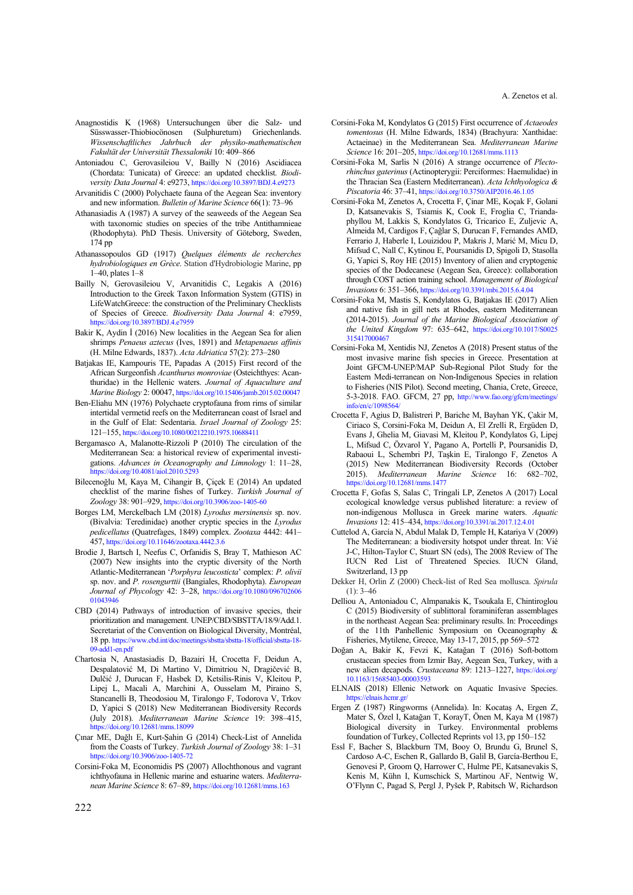- Anagnostidis K (1968) Untersuchungen über die Salz- und Süsswasser-Thiobiocönosen (Sulphuretum) Griechenlands. *Wissenschaftliches Jahrbuch der physiko-mathematischen Fakultät der Universität Thessaloniki* 10: 409–866
- Antoniadou C, Gerovasileiou V, Bailly N (2016) Ascidiacea (Chordata: Tunicata) of Greece: an updated checklist. *Biodiversity Data Journal* 4: e9273, https://doi.org/10.3897/BDJ.4.e9273
- Arvanitidis C (2000) Polychaete fauna of the Aegean Sea: inventory and new information. *Bulletin of Marine Science* 66(1): 73–96
- Athanasiadis A (1987) A survey of the seaweeds of the Aegean Sea with taxonomic studies on species of the tribe Antithamnieae (Rhodophyta). PhD Thesis. University of Göteborg, Sweden, 174 pp
- Athanassopoulos GD (1917) *Quelques éléments de recherches hydrobiologiques en Grèce*. Station d'Hydrobiologie Marine, pp 1–40, plates 1–8
- Bailly N, Gerovasileiou V, Arvanitidis C, Legakis A (2016) Introduction to the Greek Taxon Information System (GTIS) in LifeWatchGreece: the construction of the Preliminary Checklists of Species of Greece. *Biodiversity Data Journal* 4: e7959, https://doi.org/10.3897/BDJ.4.e7959
- Bakir K, Aydin İ (2016) New localities in the Aegean Sea for alien shrimps *Penaeus aztecus* (Ives, 1891) and *Metapenaeus affinis*  (H. Milne Edwards, 1837). *Acta Adriatica* 57(2): 273–280
- Batjakas IE, Kampouris TE, Papadas A (2015) First record of the African Surgeonfish *Acanthurus monroviae* (Osteichthyes: Acanthuridae) in the Hellenic waters. *Journal of Aquaculture and Marine Biology* 2: 00047, https://doi.org/10.15406/jamb.2015.02.00047
- Ben-Eliahu MN (1976) Polychaete cryptofauna from rims of similar intertidal vermetid reefs on the Mediterranean coast of Israel and in the Gulf of Elat: Sedentaria. *Israel Journal of Zoology* 25: 121–155, https://doi.org/10.1080/00212210.1975.10688411
- Bergamasco A, Malanotte-Rizzoli P (2010) The circulation of the Mediterranean Sea: a historical review of experimental investigations. *Advances in Oceanography and Limnology* 1: 11–28, https://doi.org/10.4081/aiol.2010.5293
- Bilecenoğlu M, Kaya M, Cihangir B, Çiçek E (2014) An updated checklist of the marine fishes of Turkey. *Turkish Journal of Zoology* 38: 901–929, https://doi.org/10.3906/zoo-1405-60
- Borges LM, Merckelbach LM (2018) *Lyrodus mersinensis* sp. nov. (Bivalvia: Teredinidae) another cryptic species in the *Lyrodus pedicellatus* (Quatrefages, 1849) complex. *Zootaxa* 4442: 441– 457, https://doi.org/10.11646/zootaxa.4442.3.6
- Brodie J, Bartsch I, Neefus C, Orfanidis S, Bray T, Mathieson AC (2007) New insights into the cryptic diversity of the North Atlantic-Mediterranean '*Porphyra leucosticta*' complex: *P. olivii* sp. nov. and *P. rosengurttii* (Bangiales, Rhodophyta). *European Journal of Phycology* [42: 3–28, https://doi.org/10.1080/096702606](https://doi.org/10.1080/09670260601043946)  01043946
- CBD (2014) Pathways of introduction of invasive species, their prioritization and management. UNEP/CBD/SBSTTA/18/9/Add.1. Secretariat of the Convention on Biological Diversity, Montréal, 18 pp. https://www.cbd.int/doc/meetings/sbstta/sbstta-18/official/sbstta-18- 09-add1-en.pdf
- Chartosia N, Anastasiadis D, Bazairi H, Crocetta F, Deidun A, Despalatović M, Di Martino V, Dimitriou N, Dragičević B, Dulčić J, Durucan F, Hasbek D, Ketsilis-Rinis V, Kleitou P, Lipej L, Macali A, Marchini A, Ousselam M, Piraino S, Stancanelli B, Theodosiou M, Tiralongo F, Todorova V, Trkov D, Yapici S (2018) New Mediterranean Biodiversity Records (July 2018). *Mediterranean Marine Science* 19: 398–415, https://doi.org/10.12681/mms.18099
- Çınar ME, Dağlı E, Kurt-Şahin G (2014) Check-List of Annelida from the Coasts of Turkey. *Turkish Journal of Zoology* 38: 1–31 https://doi.org/10.3906/zoo-1405-72
- Corsini-Foka M, Economidis PS (2007) Allochthonous and vagrant ichthyofauna in Hellenic marine and estuarine waters. *Mediterranean Marine Science* 8: 67–89, https://doi.org/10.12681/mms.163
- Corsini-Foka M, Kondylatos G (2015) First occurrence of *Actaeodes tomentosus* (H. Milne Edwards, 1834) (Brachyura: Xanthidae: Actaeinae) in the Mediterranean Sea. *Mediterranean Marine Science* 16: 201–205, https://doi.org/10.12681/mms.1113
- Corsini-Foka M, Sarlis N (2016) A strange occurrence of *Plectorhinchus gaterinus* (Actinopterygii: Perciformes: Haemulidae) in the Thracian Sea (Eastern Mediterranean). *Acta Ichthyologica & Piscatoria* 46: 37–41, https://doi.org/10.3750/AIP2016.46.1.05
- Corsini-Foka M, Zenetos A, Crocetta F, Çinar ME, Koçak F, Golani D, Katsanevakis S, Tsiamis K, Cook E, Froglia C, Triandaphyllou M, Lakkis S, Kondylatos G, Tricarico E, Zuljevic A, Almeida M, Cardigos F, Çağlar S, Durucan F, Fernandes AMD, Ferrario J, Haberle I, Louizidou P, Makris J, Marić M, Micu D, Mifsud C, Nall C, Kytinou E, Poursanidis D, Spigoli D, Stasolla G, Yapici S, Roy HE (2015) Inventory of alien and cryptogenic species of the Dodecanese (Aegean Sea, Greece): collaboration through COST action training school. *Management of Biological Invasions* 6: 351–366, https://doi.org/10.3391/mbi.2015.6.4.04
- Corsini-Foka M, Mastis S, Kondylatos G, Batjakas IE (2017) Alien and native fish in gill nets at Rhodes, eastern Mediterranean (2014-2015). *Journal of the Marine Biological Association of the United Kingdom* [97: 635–642, https://doi.org/10.1017/S0025](https://doi.org/10.1017/S0025315417000467)  315417000467
- Corsini-Foka M, Xentidis NJ, Zenetos A (2018) Present status of the most invasive marine fish species in Greece. Presentation at Joint GFCM-UNEP/MAP Sub-Regional Pilot Study for the Eastern Medi-terranean on Non-Indigenous Species in relation to Fisheries (NIS Pilot). Second meeting, Chania, Crete, Greece, [5-3-2018. FAO. GFCM, 27 pp,](http://www.fao.org/gfcm/meetings/info/en/c/1098564/) http://www.fao.org/gfcm/meetings/ info/en/c/1098564/
- Crocetta F, Agius D, Balistreri P, Bariche M, Bayhan YK, Çakir M, Ciriaco S, Corsini-Foka M, Deidun A, El Zrelli R, Ergüden D, Evans J, Ghelia M, Giavasi M, Kleitou P, Kondylatos G, Lipej L, Mifsud C, Özvarol Y, Pagano A, Portelli P, Poursanidis D, Rabaoui L, Schembri PJ, Taşkin E, Tiralongo F, Zenetos A (2015) New Mediterranean Biodiversity Records (October 2015). *Mediterranean Marine Science* 16: 682–702, https://doi.org/10.12681/mms.1477
- Crocetta F, Gofas S, Salas C, Tringali LP, Zenetos A (2017) Local ecological knowledge versus published literature: a review of non-indigenous Mollusca in Greek marine waters. *Aquatic Invasions* 12: 415–434, https://doi.org/10.3391/ai.2017.12.4.01
- Cuttelod A, García N, Abdul Malak D, Temple H, Katariya V (2009) The Mediterranean: a biodiversity hotspot under threat. In: Vié J-C, Hilton-Taylor C, Stuart SN (eds), The 2008 Review of The IUCN Red List of Threatened Species. IUCN Gland, Switzerland, 13 pp
- Dekker H, Orlin Z (2000) Check-list of Red Sea mollusca. *Spirula*  $(1): 3-46$
- Delliou A, Antoniadou C, Almpanakis K, Tsoukala E, Chintiroglou C (2015) Biodiversity of sublittoral foraminiferan assemblages in the northeast Aegean Sea: preliminary results. In: Proceedings of the 11th Panhellenic Symposium on Oceanography & Fisheries, Mytilene, Greece, May 13-17, 2015, pp 569–572
- Doğan A, Bakir K, Fevzi K, Katağan T (2016) Soft-bottom crustacean species from Izmir Bay, Aegean Sea, Turkey, with a new alien decapods. *Crustaceana* [89: 1213–1227, https://doi.org/](https://doi.org/10.1163/15685403-00003593)  10.1163/15685403-00003593
- ELNAIS (2018) Ellenic Network on Aquatic Invasive Species. https://elnais.hcmr.gr/
- Ergen Z (1987) Ringworms (Annelida). In: Kocataş A, Ergen Z, Mater S, Özel I, Katağan T, KorayT, Önen M, Kaya M (1987) Biological diversity in Turkey. Environmental problems foundation of Turkey, Collected Reprints vol 13, pp 150–152
- Essl F, Bacher S, Blackburn TM, Booy O, Brundu G, Brunel S, Cardoso A-C, Eschen R, Gallardo B, Galil B, García-Berthou E, Genovesi P, Groom Q, Harrower C, Hulme PE, Katsanevakis S, Kenis M, Kühn I, Kumschick S, Martinou AF, Nentwig W, O'Flynn C, Pagad S, Pergl J, Pyšek P, Rabitsch W, Richardson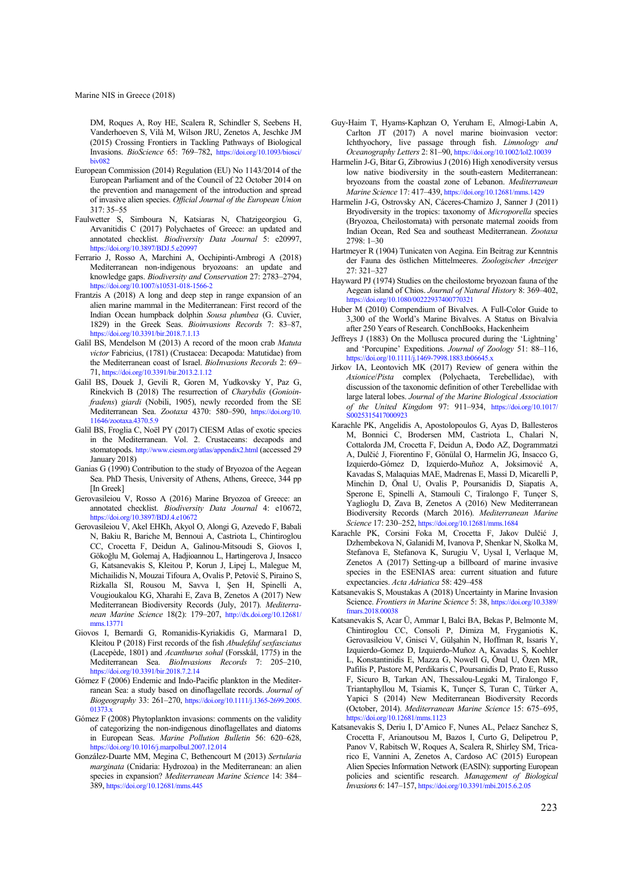DM, Roques A, Roy HE, Scalera R, Schindler S, Seebens H, Vanderhoeven S, Vilà M, Wilson JRU, Zenetos A, Jeschke JM (2015) Crossing Frontiers in Tackling Pathways of Biological Invasions. *BioScience* [65: 769–782, https://doi.org/10.1093/biosci/](https://doi.org/10.1093/biosci/biv082)  biv082

- European Commission (2014) Regulation (EU) No 1143/2014 of the European Parliament and of the Council of 22 October 2014 on the prevention and management of the introduction and spread of invasive alien species. *Official Journal of the European Union* 317: 35–55
- Faulwetter S, Simboura N, Katsiaras N, Chatzigeorgiou G, Arvanitidis C (2017) Polychaetes of Greece: an updated and annotated checklist. *Biodiversity Data Journal* 5: e20997, https://doi.org/10.3897/BDJ.5.e20997
- Ferrario J, Rosso A, Marchini A, Occhipinti-Ambrogi A (2018) Mediterranean non-indigenous bryozoans: an update and knowledge gaps. *Biodiversity and Conservation* 27: 2783–2794, https://doi.org/10.1007/s10531-018-1566-2
- Frantzis A (2018) A long and deep step in range expansion of an alien marine mammal in the Mediterranean: First record of the Indian Ocean humpback dolphin *Sousa plumbea* (G. Cuvier, 1829) in the Greek Seas. *Bioinvasions Records* 7: 83–87, https://doi.org/10.3391/bir.2018.7.1.13
- Galil BS, Mendelson M (2013) A record of the moon crab *Matuta victor* Fabricius, (1781) (Crustacea: Decapoda: Matutidae) from the Mediterranean coast of Israel. *BioInvasions Records* 2: 69– 71, https://doi.org/10.3391/bir.2013.2.1.12
- Galil BS, Douek J, Gevili R, Goren M, Yudkovsky Y, Paz G, Rinekvich B (2018) The resurrection of *Charybdis* (*Gonioinfradens*) *giardi* (Nobili, 1905), newly recorded from the SE Mediterranean Sea. *Zootaxa* [4370: 580–590, https://doi.org/10.](https://doi.org/10.11646/zootaxa.4370.5.9)  11646/zootaxa.4370.5.9
- Galil BS, Froglia C, Noël PY (2017) CIESM Atlas of exotic species in the Mediterranean. Vol. 2. Crustaceans: decapods and stomatopods. http://www.ciesm.org/atlas/appendix2.html (accessed 29 January 2018)
- Ganias G (1990) Contribution to the study of Bryozoa of the Aegean Sea. PhD Thesis, University of Athens, Athens, Greece, 344 pp [In Greek]
- Gerovasileiou V, Rosso A (2016) Marine Bryozoa of Greece: an annotated checklist. *Biodiversity Data Journal* 4: e10672, https://doi.org/10.3897/BDJ.4.e10672
- Gerovasileiou V, Akel EHKh, Akyol O, Alongi G, Azevedo F, Babali N, Bakiu R, Bariche M, Bennoui A, Castriota L, Chintiroglou CC, Crocetta F, Deidun Α, Galinou-Mitsoudi S, Giovos Ι, Gökoğlu M, Golemaj Α, Hadjioannou L, Hartingerova J, Insacco G, Katsanevakis S, Kleitou P, Korun J, Lipej L, Malegue M, Michailidis N, Mouzai Tifoura A, Ovalis P, Petović S, Piraino S, Rizkalla SI, Rousou M, Savva I, Şen H, Spinelli A, Vougioukalou KG, Xharahi E, Zava B, Zenetos A (2017) New Mediterranean Biodiversity Records (July, 2017). *Mediterranean Marine Science* [18\(2\): 179–207, http://dx.doi.org/10.12681/](http://dx.doi.org/10.12681/mms.13771)  mms.13771
- Giovos I, Bernardi G, Romanidis-Kyriakidis G, Marmara1 D, Kleitou P (2018) First records of the fish *Abudefduf sexfasciatus* (Lacepède, 1801) and *Acanthurus sohal* (Forsskål, 1775) in the Mediterranean Sea. *BioInvasions Records* 7: 205–210, https://doi.org/10.3391/bir.2018.7.2.14
- Gómez F (2006) Endemic and Indo-Pacific plankton in the Mediterranean Sea: a study based on dinoflagellate records. *Journal of Biogeography* [33: 261–270, https://doi.org/10.1111/j.1365-2699.2005.](https://doi.org/10.1111/j.1365-2699.2005.01373.x)  01373.x
- Gómez F (2008) Phytoplankton invasions: comments on the validity of categorizing the non-indigenous dinoflagellates and diatoms in European Seas. *Marine Pollution Bulletin* 56: 620–628, https://doi.org/10.1016/j.marpolbul.2007.12.014
- González-Duarte MM, Megina C, Bethencourt M (2013) *Sertularia marginata* (Cnidaria: Hydrozoa) in the Mediterranean: an alien species in expansion? *Mediterranean Marine Science* 14: 384– 389, https://doi.org/10.12681/mms.445
- Guy‐Haim T, Hyams‐Kaphzan O, Yeruham E, Almogi‐Labin A, Carlton JT (2017) A novel marine bioinvasion vector: Ichthyochory, live passage through fish. *Limnology and Oceanography Letters* 2: 81–90, https://doi.org/10.1002/lol2.10039
- Harmelin J-G, Bitar G, Zibrowius J (2016) High xenodiversity versus low native biodiversity in the south-eastern Mediterranean: bryozoans from the coastal zone of Lebanon. *Mediterranean Marine Science* 17: 417–439, https://doi.org/10.12681/mms.1429
- Harmelin J-G, Ostrovsky AN, Cáceres-Chamizo J, Sanner J (2011) Bryodiversity in the tropics: taxonomy of *Microporella* species (Bryozoa, Cheilostomata) with personate maternal zooids from Indian Ocean, Red Sea and southeast Mediterranean. *Zootaxa* 2798: 1–30
- Hartmeyer R (1904) Tunicaten von Aegina. Ein Beitrag zur Kenntnis der Fauna des östlichen Mittelmeeres. *Zoologischer Anzeiger* 27: 321–327
- Hayward PJ (1974) Studies on the cheilostome bryozoan fauna of the Aegean island of Chios. *Journal of Natural History* 8: 369–402, https://doi.org/10.1080/00222937400770321
- Huber M (2010) Compendium of Bivalves. A Full-Color Guide to 3,300 of the World's Marine Bivalves. A Status on Bivalvia after 250 Years of Research. ConchBooks, Hackenheim
- Jeffreys J (1883) On the Mollusca procured during the 'Lightning' and 'Porcupine' Expeditions. *Journal of Zoology* 51: 88–116, https://doi.org/10.1111/j.1469-7998.1883.tb06645.x
- Jirkov IA, Leontovich MK (2017) Review of genera within the *Axionice*/*Pista* complex (Polychaeta, Terebellidae), with discussion of the taxonomic definition of other Terebellidae with large lateral lobes. *Journal of the Marine Biological Association of the United Kingdom* [97: 911–934, https://doi.org/10.1017/](https://doi.org/10.1017/S0025315417000923)  S0025315417000923
- Karachle PK, Angelidis A, Apostolopoulos G, Ayas D, Ballesteros M, Bonnici C, Brodersen MM, Castriota L, Chalari N, Cottalorda JM, Crocetta F, Deidun A, Đođo AZ, Dogrammatzi A, Dulčić J, Fiorentino F, Gönülal O, Harmelin JG, Insacco G, Izquierdo-Gómez D, Izquierdo-Muñoz A, Joksimović A, Kavadas S, Malaquias MAE, Madrenas E, Massi D, Micarelli P, Minchin D, Önal U, Ovalis P, Poursanidis D, Siapatis A, Sperone E, Spinelli A, Stamouli C, Tiralongo F, Tunçer S, Yaglioglu D, Zava B, Zenetos A (2016) New Mediterranean Biodiversity Records (March 2016). *Mediterranean Marine Science* 17: 230–252, https://doi.org/10.12681/mms.1684
- Karachle PK, Corsini Foka M, Crocetta F, Jakov Dulčić J, Dzhembekova N, Galanidi M, Ivanova P, Shenkar N, Skolka M, Stefanova E, Stefanova K, Surugiu V, Uysal I, Verlaque M, Zenetos A (2017) Setting-up a billboard of marine invasive species in the ESENIAS area: current situation and future expectancies. *Acta Adriatica* 58: 429–458
- Katsanevakis S, Moustakas A (2018) Uncertainty in Marine Invasion Science. *[Frontiers in Marine Science](https://doi.org/10.3389/fmars.2018.00038)* 5: 38, https://doi.org/10.3389/ fmars.2018.00038
- Katsanevakis S, Acar Ü, Ammar I, Balci BA, Bekas P, Belmonte M, Chintiroglou CC, Consoli P, Dimiza M, Fryganiotis K, Gerovasileiou V, Gnisci V, Gülşahin N, Hoffman R, Issaris Y, Izquierdo-Gomez D, Izquierdo-Muñoz A, Kavadas S, Koehler L, Konstantinidis E, Mazza G, Nowell G, Önal U, Özen MR, Pafilis P, Pastore M, Perdikaris C, Poursanidis D, Prato E, Russo F, Sicuro B, Tarkan AN, Thessalou-Legaki M, Tiralongo F, Triantaphyllou M, Tsiamis K, Tunçer S, Turan C, Türker A, Yapici S (2014) New Mediterranean Biodiversity Records (October, 2014). *Mediterranean Marine Science* 15: 675–695, https://doi.org/10.12681/mms.1123
- Katsanevakis S, Deriu I, D'Amico F, Nunes AL, Pelaez Sanchez S, Crocetta F, Arianoutsou M, Bazos I, Curto G, Delipetrou P, Panov V, Rabitsch W, Roques A, Scalera R, Shirley SM, Tricarico E, Vannini A, Zenetos A, Cardoso AC (2015) European Alien Species Information Network (EASIN): supporting European policies and scientific research. *Management of Biological Invasions* 6: 147–157, https://doi.org/10.3391/mbi.2015.6.2.05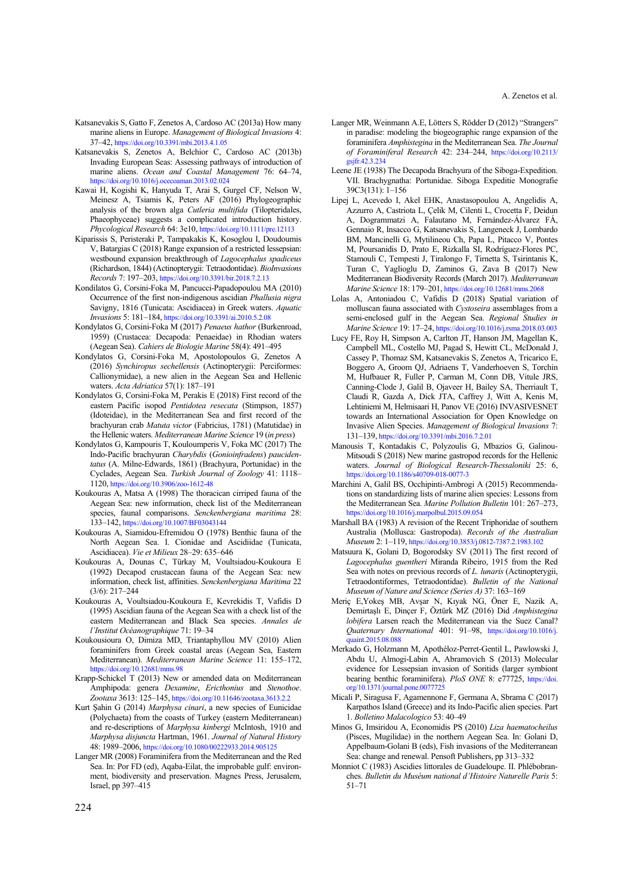- Katsanevakis S, Gatto F, Zenetos A, Cardoso AC (2013a) How many marine aliens in Europe. *Management of Biological Invasions* 4: 37–42, https://doi.org/10.3391/mbi.2013.4.1.05
- Katsanevakis S, Zenetos A, Belchior C, Cardoso AC (2013b) Invading European Seas: Assessing pathways of introduction of marine aliens. *Ocean and Coastal Management* 76: 64–74, https://doi.org/10.1016/j.ocecoaman.2013.02.024
- Kawai H, Kogishi K, Hanyuda T, Arai S, Gurgel CF, Nelson W, Meinesz A, Tsiamis K, Peters AF (2016) Phylogeographic analysis of the brown alga *Cutleria multifida* (Tilopteridales, Phaeophyceae) suggests a complicated introduction history. *Phycological Research* 64: 3e10, https://doi.org/10.1111/pre.12113
- Kiparissis S, Peristeraki P, Tampakakis K, Kosoglou I, Doudoumis V, Batargias C (2018) Range expansion of a restricted lessepsian: westbound expansion breakthrough of *Lagocephalus spadiceus* (Richardson, 1844) (Actinopterygii: Tetraodontidae). *BioInvasions Records* 7: 197–203, https://doi.org/10.3391/bir.2018.7.2.13
- Kondilatos G, Corsini-Foka M, Pancucci-Papadopoulou MA (2010) Occurrence of the first non-indigenous ascidian *Phallusia nigra* Savigny, 1816 (Tunicata: Ascidiacea) in Greek waters. *Aquatic Invasions* 5: 181–184, https://doi.org/10.3391/ai.2010.5.2.08
- Kondylatos G, Corsini-Foka M (2017) *Penaeus hathor* (Burkenroad, 1959) (Crustacea: Decapoda: Penaeidae) in Rhodian waters (Aegean Sea). *Cahiers de Biologie Marine* 58(4): 491–495
- Kondylatos G, Corsini-Foka M, Apostolopoulos G, Zenetos A (2016) *Synchiropus sechellensis* (Actinopterygii: Perciformes: Callionymidae), a new alien in the Aegean Sea and Hellenic waters. *Acta Adriatica* 57(1): 187–191
- Kondylatos G, Corsini-Foka M, Perakis E (2018) First record of the eastern Pacific isopod *Pentidotea resecata* (Stimpson, 1857) (Idoteidae), in the Mediterranean Sea and first record of the brachyuran crab *Matuta victor* (Fabricius, 1781) (Matutidae) in the Hellenic waters. *Mediterranean Marine Science* 19 (*in press*)
- Kondylatos G, Kampouris T, Kouloumperis V, Foka MC (2017) The Indo-Pacific brachyuran *Charybdis* (*Gonioinfradens*) *paucidentatus* (A. Milne-Edwards, 1861) (Brachyura, Portunidae) in the Cyclades, Aegean Sea. *Turkish Journal of Zoology* 41: 1118– 1120, https://doi.org/10.3906/zoo-1612-48
- Koukouras A, Matsa A (1998) The thoracican cirriped fauna of the Aegean Sea: new information, check list of the Mediterranean species, faunal comparisons. *Senckenbergiana maritima* 28: 133–142, https://doi.org/10.1007/BF03043144
- Koukouras A, Siamidou-Efremidou O (1978) Benthic fauna of the North Aegean Sea. I. Cionidae and Ascidiidae (Tunicata, Ascidiacea). *Vie et Milieux* 28–29: 635–646
- Koukouras A, Dounas C, Türkay M, Voultsiadou-Koukoura E (1992) Decapod crustacean fauna of the Aegean Sea: new information, check list, affinities. *Senckenbergiana Maritima* 22 (3/6): 217–244
- Koukouras A, Voultsiadou-Koukoura E, Kevrekidis T, Vafidis D (1995) Ascidian fauna of the Aegean Sea with a check list of the eastern Mediterranean and Black Sea species. *Annales de l'Institut Océanographique* 71: 19–34
- Koukousioura O, Dimiza MD, Triantaphyllou MV (2010) Alien foraminifers from Greek coastal areas (Aegean Sea, Eastern Mediterranean). *Mediterranean Marine Science* 11: 155–172, https://doi.org/10.12681/mms.98
- Krapp-Schickel T (2013) New or amended data on Mediterranean Amphipoda: genera *Dexamine*, *Ericthonius* and *Stenothoe*. *Zootaxa* 3613: 125–145, https://doi.org/10.11646/zootaxa.3613.2.2
- Kurt Şahin G (2014) *Marphysa cinari*, a new species of Eunicidae (Polychaeta) from the coasts of Turkey (eastern Mediterranean) and re-descriptions of *Marphysa kinbergi* McIntosh, 1910 and *Marphysa disjuncta* Hartman, 1961. *Journal of Natural History* 48: 1989–2006, https://doi.org/10.1080/00222933.2014.905125
- Langer MR (2008) Foraminifera from the Mediterranean and the Red Sea. In: Por FD (ed), Aqaba-Eilat, the improbable gulf: environment, biodiversity and preservation. Magnes Press, Jerusalem, Israel, pp 397–415
- Langer MR, Weinmann A.E, Lötters S, Rödder D (2012) "Strangers" in paradise: modeling the biogeographic range expansion of the foraminifera *Amphistegina* in the Mediterranean Sea. *The Journal of Foraminiferal Research* [42: 234–244, https://doi.org/10.2113/](https://doi.org/10.2113/gsjfr.42.3.234)  gsjfr.42.3.234
- Leene JE (1938) The Decapoda Brachyura of the Siboga-Expedition. VII. Brachygnatha: Portunidae. Siboga Expeditie Monografie 39C3(131): 1–156
- Lipej L, Acevedo I, Akel EHK, Anastasopoulou A, Angelidis A, Azzurro A, Castriota L, Çelik M, Cilenti L, Crocetta F, Deidun A, Dogrammatzi A, Falautano M, Fernández-Álvarez FÁ, Gennaio R, Insacco G, Katsanevakis S, Langeneck J, Lombardo BM, Mancinelli G, Mytilineou Ch, Papa L, Pitacco V, Pontes M, Poursanidis D, Prato E, Rizkalla SI, Rodríguez-Flores PC, Stamouli C, Tempesti J, Tiralongo F, Tirnetta S, Tsirintanis K, Turan C, Yaglioglu D, Zaminos G, Zava B (2017) New Mediterranean Biodiversity Records (March 2017). *Mediterranean Marine Science* 18: 179–201, https://doi.org/10.12681/mms.2068
- Lolas A, Antoniadou C, Vafidis D (2018) Spatial variation of molluscan fauna associated with *Cystoseira* assemblages from a semi-enclosed gulf in the Aegean Sea. *Regional Studies in Marine Science* 19: 17–24, https://doi.org/10.1016/j.rsma.2018.03.003
- Lucy FE, Roy H, Simpson A, Carlton JT, Hanson JM, Magellan K, Campbell ML, Costello MJ, Pagad S, Hewitt CL, McDonald J, Cassey P, Thomaz SM, Katsanevakis S, Zenetos A, Tricarico E, Boggero A, Groom QJ, Adriaens T, Vanderhoeven S, Torchin M, Hufbauer R, Fuller P, Carman M, Conn DB, Vitule JRS, Canning-Clode J, Galil B, Ojaveer H, Bailey SA, Therriault T, Claudi R, Gazda A, Dick JTA, Caffrey J, Witt A, Kenis M, Lehtiniemi M, Helmisaari H, Panov VE (2016) INVASIVESNET towards an International Association for Open Knowledge on Invasive Alien Species. *Management of Biological Invasions* 7: 131–139, https://doi.org/10.3391/mbi.2016.7.2.01
- Manousis T, Kontadakis C, Polyzoulis G, Mbazios G, Galinou-Mitsoudi S (2018) New marine gastropod records for the Hellenic waters. *Journal of Biological Research-Thessaloniki* 25: 6, https://doi.org/10.1186/s40709-018-0077-3
- Marchini A, Galil BS, Occhipinti-Ambrogi A (2015) Recommendations on standardizing lists of marine alien species: Lessons from the Mediterranean Sea. *Marine Pollution Bulletin* 101: 267–273, https://doi.org/10.1016/j.marpolbul.2015.09.054
- Marshall BA (1983) A revision of the Recent Triphoridae of southern Australia (Mollusca: Gastropoda). *Records of the Australian Museum* 2: 1–119, https://doi.org/10.3853/j.0812-7387.2.1983.102
- Matsuura K, Golani D, Bogorodsky SV (2011) The first record of *Lagocephalus guentheri* Miranda Ribeiro, 1915 from the Red Sea with notes on previous records of *L. lunaris* (Actinopterygii, Tetraodontiformes, Tetraodontidae). *Bulletin of the National Museum of Nature and Science (Series A)* 37: 163–169
- Meriç E,Yokeş MB, Avşar N, Kıyak NG, Öner E, Nazik A, Demirtaşlı E, Dinçer F, Öztürk MZ (2016) Did *Amphistegina lobifera* Larsen reach the Mediterranean via the Suez Canal? *Quaternary International* [401: 91–98, https://doi.org/10.1016/j.](https://doi.org/10.1016/j.quaint.2015.08.088)  quaint.2015.08.088
- Merkado G, Holzmann M, Apothéloz-Perret-Gentil L, Pawlowski J, Abdu U, Almogi-Labin A, Abramovich S (2013) Molecular evidence for Lessepsian invasion of Soritids (larger symbiont [bearing benthic foraminifera\).](https://doi.org/10.1371/journal.pone.0077725) *PloS ONE* 8: e77725, https://doi. org/10.1371/journal.pone.0077725
- Micali P, Siragusa F, Agamennone F, Germana A, Sbrama C (2017) Karpathos Island (Greece) and its Indo-Pacific alien species. Part 1. *Bolletino Malacologico* 53: 40–49
- Minos G, Imsiridou A, Economidis PS (2010) *Liza haematocheilus*  (Pisces, Mugilidae) in the northern Aegean Sea. In: Golani D, Appelbaum-Golani B (eds), Fish invasions of the Mediterranean Sea: change and renewal. Pensoft Publishers, pp 313–332
- Monniot C (1983) Ascidies littorales de Guadeloupe. II. Phlébobranches. *Bulletin du Muséum national d'Histoire Naturelle Paris* 5: 51–71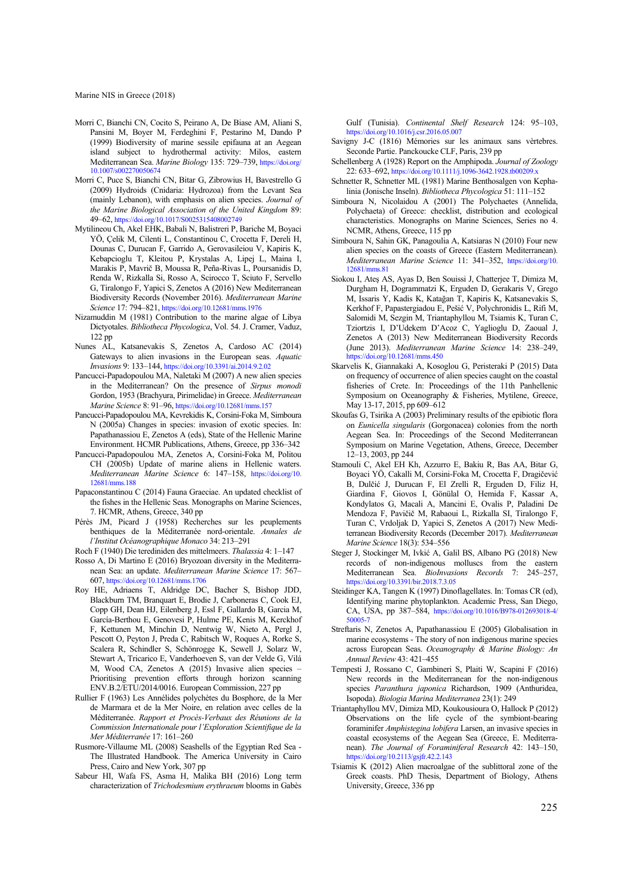- Morri C, Bianchi CN, Cocito S, Peirano A, De Biase AM, Aliani S, Pansini M, Boyer M, Ferdeghini F, Pestarino M, Dando P (1999) Biodiversity of marine sessile epifauna at an Aegean island subject to hydrothermal activity: Milos, eastern Mediterranean Sea. *Marine Biology* [135: 729–739, https://doi.org/](https://doi.org/10.1007/s002270050674)  10.1007/s002270050674
- Morri C, Puce S, Bianchi CN, Bitar G, Zibrowius H, Bavestrello G (2009) Hydroids (Cnidaria: Hydrozoa) from the Levant Sea (mainly Lebanon), with emphasis on alien species. *Journal of the Marine Biological Association of the United Kingdom* 89: 49–62, https://doi.org/10.1017/S0025315408002749
- Mytilineou Ch, Akel EHK, Babali N, Balistreri P, Bariche M, Boyaci YÖ, Çelik M, Cilenti L, Constantinou C, Crocetta F, Dereli H, Dounas C, Durucan F, Garrido A, Gerovasileiou V, Kapiris K, Kebapcioglu T, Kleitou P, Krystalas A, Lipej L, Maina I, Marakis P, Mavrič B, Moussa R, Peña-Rivas L, Poursanidis D, Renda W, Rizkalla Si, Rosso A, Scirocco T, Sciuto F, Servello G, Tiralongo F, Yapici S, Zenetos A (2016) New Mediterranean Biodiversity Records (November 2016). *Mediterranean Marine Science* 17: 794–821, https://doi.org/10.12681/mms.1976
- Nizamuddin M (1981) Contribution to the marine algae of Libya Dictyotales. *Bibliotheca Phycologica*, Vol. 54. J. Cramer, Vaduz, 122 pp
- Nunes AL, Katsanevakis S, Zenetos A, Cardoso AC (2014) Gateways to alien invasions in the European seas. *Aquatic Invasions* 9: 133–144, https://doi.org/10.3391/ai.2014.9.2.02
- Pancucci-Papadopoulou MA, Naletaki M (2007) A new alien species in the Mediterranean? On the presence of *Sirpus monodi* Gordon, 1953 (Brachyura, Pirimelidae) in Greece. *Mediterranean Marine Science* 8: 91–96, https://doi.org/10.12681/mms.157
- Pancucci-Papadopoulou MA, Kevrekidis K, Corsini-Foka M, Simboura N (2005a) Changes in species: invasion of exotic species. In: Papathanassiou E, Zenetos A (eds), State of the Hellenic Marine Environment. HCMR Publications, Athens, Greece, pp 336–342
- Pancucci-Papadopoulou MA, Zenetos A, Corsini-Foka M, Politou CH (2005b) Update of marine aliens in Hellenic waters. *[Mediterranean Marine Science](https://doi.org/10.12681/mms.188)* 6: 147–158, https://doi.org/10. 12681/mms.188
- Papaconstantinou C (2014) Fauna Graeciae. An updated checklist of the fishes in the Hellenic Seas. Monographs on Marine Sciences, 7. HCMR, Athens, Greece, 340 pp
- Pérès JM, Picard J (1958) Recherches sur les peuplements benthiques de la Méditerranée nord-orientale. *Annales de l'Institut Océanographique Monaco* 34: 213–291
- Roch F (1940) Die terediniden des mittelmeers. *Thalassia* 4: 1–147
- Rosso A, Di Martino E (2016) Bryozoan diversity in the Mediterranean Sea: an update. *Mediterranean Marine Science* 17: 567– 607, https://doi.org/10.12681/mms.1706
- Roy HE, Adriaens T, Aldridge DC, Bacher S, Bishop JDD, Blackburn TM, Branquart E, Brodie J, Carboneras C, Cook EJ, Copp GH, Dean HJ, Eilenberg J, Essl F, Gallardo B, Garcia M, García-Berthou E, Genovesi P, Hulme PE, Kenis M, Kerckhof F, Kettunen M, Minchin D, Nentwig W, Nieto A, Pergl J, Pescott O, Peyton J, Preda C, Rabitsch W, Roques A, Rorke S, Scalera R, Schindler S, Schönrogge K, Sewell J, Solarz W, Stewart A, Tricarico E, Vanderhoeven S, van der Velde G, Vilá M, Wood CA, Zenetos A (2015) Invasive alien species – Prioritising prevention efforts through horizon scanning ENV.B.2/ETU/2014/0016. European Commission, 227 pp
- Rullier F (1963) Les Annélides polychètes du Bosphore, de la Mer de Marmara et de la Mer Noire, en relation avec celles de la Méditerranée. *Rapport et Procès-Verbaux des Réunions de la Commission Internationale pour l'Exploration Scientifique de la Mer Méditerranée* 17: 161–260
- Rusmore-Villaume ML (2008) Seashells of the Egyptian Red Sea The Illustrated Handbook. The America University in Cairo Press, Cairo and New York, 307 pp
- Sabeur HI, Wafa FS, Asma H, Malika BH (2016) Long term characterization of *Trichodesmium erythraeum* blooms in Gabès

Gulf (Tunisia). *Continental Shelf Research* 124: 95–103, https://doi.org/10.1016/j.csr.2016.05.007

- Savigny J-C (1816) Mémories sur les animaux sans vèrtebres. Seconde Partie. Panckoucke CLF, Paris, 239 pp
- Schellenberg A (1928) Report on the Amphipoda. *Journal of Zoology* 22: 633–692, https://doi.org/10.1111/j.1096-3642.1928.tb00209.x
- Schnetter R, Schnetter ML (1981) Marine Benthosalgen von Kephalinia (Jonische Inseln). *Bibliotheca Phycologica* 51: 111–152
- Simboura N, Nicolaidou A (2001) The Polychaetes (Annelida, Polychaeta) of Greece: checklist, distribution and ecological characteristics. Monographs on Marine Sciences, Series no 4. NCMR, Athens, Greece, 115 pp
- Simboura N, Sahin GK, Panagoulia A, Katsiaras N (2010) Four new alien species on the coasts of Greece (Eastern Mediterranean). *[Mediterranean Marine Science](https://doi.org/10.12681/mms.81)* 11: 341–352, https://doi.org/10. 12681/mms.81
- Siokou I, Ateş AS, Ayas D, Ben Souissi J, Chatterjee T, Dimiza M, Durgham H, Dogrammatzi K, Erguden D, Gerakaris V, Grego M, Issaris Y, Kadis K, Katağan T, Kapiris K, Katsanevakis S, Kerkhof F, Papastergiadou E, Pešić V, Polychronidis L, Rifi M, Salomidi M, Sezgin M, Triantaphyllou M, Tsiamis K, Turan C, Tziortzis I, D'Udekem D'Acoz C, Yaglioglu D, Zaoual J, Zenetos A (2013) New Mediterranean Biodiversity Records (June 2013). *Mediterranean Marine Science* 14: 238–249, https://doi.org/10.12681/mms.450
- Skarvelis K, Giannakaki A, Kosoglou G, Peristeraki P (2015) Data on frequency of occurrence of alien species caught on the coastal fisheries of Crete. In: Proceedings of the 11th Panhellenic Symposium on Oceanography & Fisheries, Mytilene, Greece, May 13-17, 2015, pp 609–612
- Skoufas G, Tsirika A (2003) Preliminary results of the epibiotic flora on *Eunicella singularis* (Gorgonacea) colonies from the north Aegean Sea. In: Proceedings of the Second Mediterranean Symposium on Marine Vegetation, Athens, Greece, December 12–13, 2003, pp 244
- Stamouli C, Akel EH Kh, Azzurro E, Bakiu R, Bas AA, Bitar G, Boyaci YÖ, Cakalli M, Corsini-Foka M, Crocetta F, Dragičević B, Dulčić J, Durucan F, El Zrelli R, Erguden D, Filiz H, Giardina F, Giovos I, Gönülal O, Hemida F, Kassar A, Kondylatos G, Macali A, Mancini E, Ovalis P, Paladini De Mendoza F, Pavičič M, Rabaoui L, Rizkalla SI, Tiralongo F, Turan C, Vrdoljak D, Yapici S, Zenetos A (2017) New Mediterranean Biodiversity Records (December 2017). *Mediterranean Marine Science* 18(3): 534–556
- Steger J, Stockinger M, Ivkić A, Galil BS, Albano PG (2018) New records of non-indigenous molluscs from the eastern Mediterranean Sea. *BioInvasions Records* 7: 245–257, https://doi.org/10.3391/bir.2018.7.3.05
- Steidinger KA, Tangen K (1997) Dinoflagellates. In: Tomas CR (ed), Identifying marine phytoplankton. Academic Press, San Diego, [CA, USA, pp 387–584, https://doi.org/10.1016/B978-012693018-4/](https://doi.org/10.1016/B978-012693018-4/50005-7)  50005-7
- Streftaris N, Zenetos A, Papathanassiou E (2005) Globalisation in marine ecosystems - The story of non indigenous marine species across European Seas. *Oceanography & Marine Biology: An Annual Review* 43: 421–455
- Tempesti J, Rossano C, Gambineri S, Plaiti W, Scapini F (2016) New records in the Mediterranean for the non-indigenous species *Paranthura japonica* Richardson, 1909 (Anthuridea, Isopoda). *Biologia Marina Mediterranea* 23(1): 249
- Triantaphyllou MV, Dimiza MD, Koukousioura O, Hallock P (2012) Observations on the life cycle of the symbiont-bearing foraminifer *Amphistegina lobifera* Larsen, an invasive species in coastal ecosystems of the Aegean Sea (Greece, E. Mediterranean). *The Journal of Foraminiferal Research* 42: 143–150, https://doi.org/10.2113/gsjfr.42.2.143
- Tsiamis K (2012) Alien macroalgae of the sublittoral zone of the Greek coasts. PhD Thesis, Department of Biology, Athens University, Greece, 336 pp